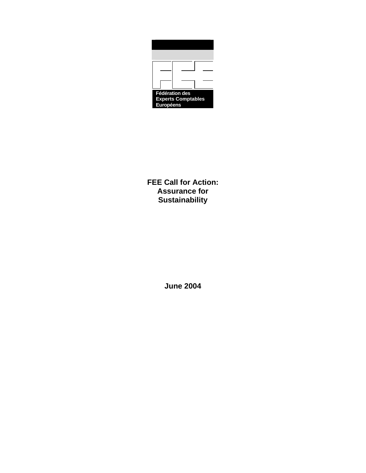| <b>Fédération des</b>                  |  |  |  |
|----------------------------------------|--|--|--|
| <b>Experts Comptables</b><br>Européens |  |  |  |

**FEE Call for Action: Assurance for Sustainability** 

**June 2004**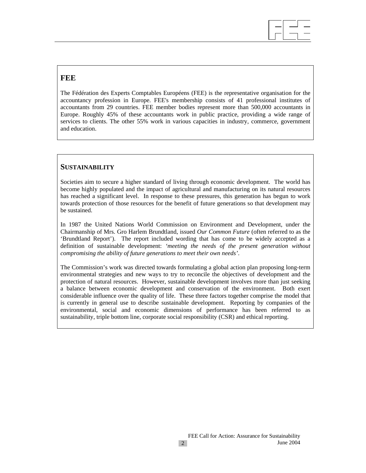## **FEE**

The Fédération des Experts Comptables Européens (FEE) is the representative organisation for the accountancy profession in Europe. FEE's membership consists of 41 professional institutes of accountants from 29 countries. FEE member bodies represent more than 500,000 accountants in Europe. Roughly 45% of these accountants work in public practice, providing a wide range of services to clients. The other 55% work in various capacities in industry, commerce, government and education.

 $\overline{a}$ 

## **SUSTAINABILITY**

Societies aim to secure a higher standard of living through economic development. The world has become highly populated and the impact of agricultural and manufacturing on its natural resources has reached a significant level. In response to these pressures, this generation has begun to work towards protection of those resources for the benefit of future generations so that development may be sustained.

In 1987 the United Nations World Commission on Environment and Development, under the Chairmanship of Mrs. Gro Harlem Brundtland, issued *Our Common Future* (often referred to as the 'Brundtland Report'). The report included wording that has come to be widely accepted as a definition of sustainable development: *'meeting the needs of the present generation without compromising the ability of future generations to meet their own needs'*.

The Commission's work was directed towards formulating a global action plan proposing long-term environmental strategies and new ways to try to reconcile the objectives of development and the protection of natural resources. However, sustainable development involves more than just seeking a balance between economic development and conservation of the environment. Both exert considerable influence over the quality of life. These three factors together comprise the model that is currently in general use to describe sustainable development. Reporting by companies of the environmental, social and economic dimensions of performance has been referred to as sustainability, triple bottom line, corporate social responsibility (CSR) and ethical reporting.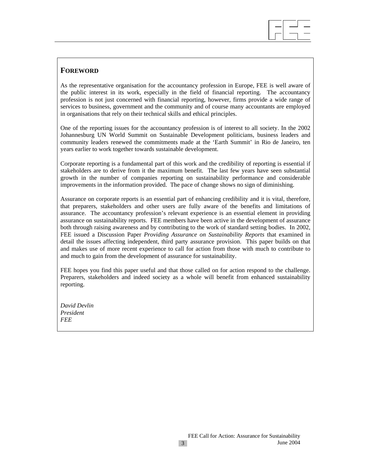

As the representative organisation for the accountancy profession in Europe, FEE is well aware of the public interest in its work, especially in the field of financial reporting. The accountancy profession is not just concerned with financial reporting, however, firms provide a wide range of services to business, government and the community and of course many accountants are employed in organisations that rely on their technical skills and ethical principles.

 $\overline{a}$ 

One of the reporting issues for the accountancy profession is of interest to all society. In the 2002 Johannesburg UN World Summit on Sustainable Development politicians, business leaders and community leaders renewed the commitments made at the 'Earth Summit' in Rio de Janeiro, ten years earlier to work together towards sustainable development.

Corporate reporting is a fundamental part of this work and the credibility of reporting is essential if stakeholders are to derive from it the maximum benefit. The last few years have seen substantial growth in the number of companies reporting on sustainability performance and considerable improvements in the information provided. The pace of change shows no sign of diminishing.

Assurance on corporate reports is an essential part of enhancing credibility and it is vital, therefore, that preparers, stakeholders and other users are fully aware of the benefits and limitations of assurance. The accountancy profession's relevant experience is an essential element in providing assurance on sustainability reports. FEE members have been active in the development of assurance both through raising awareness and by contributing to the work of standard setting bodies. In 2002, FEE issued a Discussion Paper *Providing Assurance on Sustainability Reports* that examined in detail the issues affecting independent, third party assurance provision. This paper builds on that and makes use of more recent experience to call for action from those with much to contribute to and much to gain from the development of assurance for sustainability.

FEE hopes you find this paper useful and that those called on for action respond to the challenge. Preparers, stakeholders and indeed society as a whole will benefit from enhanced sustainability reporting.

*David Devlin President FEE*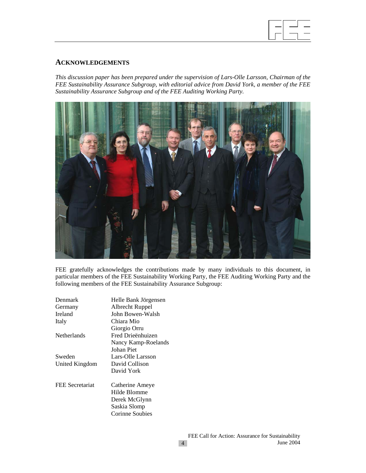

## **ACKNOWLEDGEMENTS**

*This discussion paper has been prepared under the supervision of Lars-Olle Larsson, Chairman of the FEE Sustainability Assurance Subgroup, with editorial advice from David York, a member of the FEE Sustainability Assurance Subgroup and of the FEE Auditing Working Party.* 



FEE gratefully acknowledges the contributions made by many individuals to this document, in particular members of the FEE Sustainability Working Party, the FEE Auditing Working Party and the following members of the FEE Sustainability Assurance Subgroup:

| Denmark         | Helle Bank Jörgensen   |  |  |
|-----------------|------------------------|--|--|
| Germany         | Albrecht Ruppel        |  |  |
| Ireland         | John Bowen-Walsh       |  |  |
| Italy           | Chiara Mio             |  |  |
|                 | Giorgio Orru           |  |  |
| Netherlands     | Fred Drieënhuizen      |  |  |
|                 | Nancy Kamp-Roelands    |  |  |
|                 | <b>Johan Piet</b>      |  |  |
| Sweden          | Lars-Olle Larsson      |  |  |
| United Kingdom  | David Collison         |  |  |
|                 | David York             |  |  |
| FEE Secretariat | Catherine Ameye        |  |  |
|                 | Hilde Blomme           |  |  |
|                 | Derek McGlynn          |  |  |
|                 | Saskia Slomp           |  |  |
|                 | <b>Corinne Soubies</b> |  |  |
|                 |                        |  |  |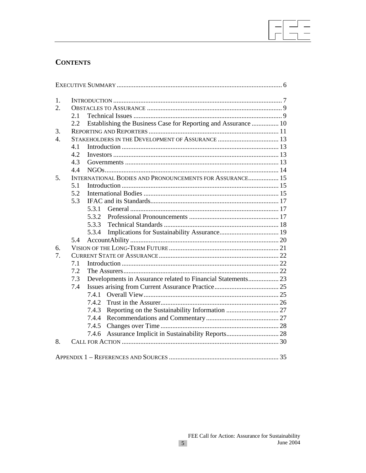## **CONTENTS**

| 1.                              |     |                                                                |  |
|---------------------------------|-----|----------------------------------------------------------------|--|
| 2.                              |     |                                                                |  |
|                                 | 2.1 |                                                                |  |
|                                 | 2.2 | Establishing the Business Case for Reporting and Assurance  10 |  |
| 3.                              |     |                                                                |  |
| $\overline{4}$ .                |     |                                                                |  |
|                                 | 4.1 |                                                                |  |
|                                 | 4.2 |                                                                |  |
|                                 | 4.3 |                                                                |  |
|                                 | 4.4 |                                                                |  |
| 5 <sub>1</sub>                  |     | INTERNATIONAL BODIES AND PRONOUNCEMENTS FOR ASSURANCE 15       |  |
|                                 | 5.1 |                                                                |  |
|                                 | 5.2 |                                                                |  |
|                                 | 5.3 |                                                                |  |
|                                 |     | 5.3.1                                                          |  |
|                                 |     | 5.3.2                                                          |  |
|                                 |     | 5.3.3                                                          |  |
|                                 |     | 5.3.4                                                          |  |
|                                 | 5.4 |                                                                |  |
| 6.                              |     |                                                                |  |
| $7_{\scriptscriptstyle{\circ}}$ |     |                                                                |  |
|                                 | 7.1 |                                                                |  |
|                                 | 7.2 |                                                                |  |
|                                 | 7.3 | Developments in Assurance related to Financial Statements 23   |  |
|                                 | 7.4 |                                                                |  |
|                                 |     | 7.4.1                                                          |  |
|                                 |     | 7.4.2                                                          |  |
|                                 |     | 7.4.3                                                          |  |
|                                 |     |                                                                |  |
|                                 |     | 7.4.5                                                          |  |
|                                 |     | 7.4.6                                                          |  |
| 8.                              |     |                                                                |  |
|                                 |     |                                                                |  |
|                                 |     |                                                                |  |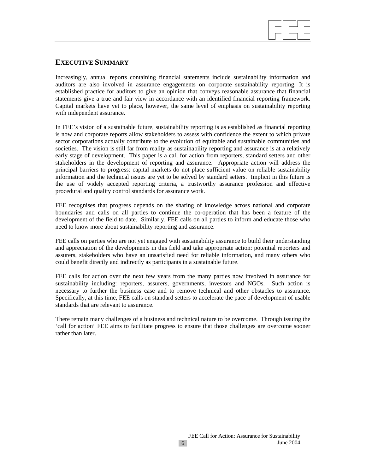

## **EXECUTIVE SUMMARY**

Increasingly, annual reports containing financial statements include sustainability information and auditors are also involved in assurance engagements on corporate sustainability reporting. It is established practice for auditors to give an opinion that conveys reasonable assurance that financial statements give a true and fair view in accordance with an identified financial reporting framework. Capital markets have yet to place, however, the same level of emphasis on sustainability reporting with independent assurance.

In FEE's vision of a sustainable future, sustainability reporting is as established as financial reporting is now and corporate reports allow stakeholders to assess with confidence the extent to which private sector corporations actually contribute to the evolution of equitable and sustainable communities and societies. The vision is still far from reality as sustainability reporting and assurance is at a relatively early stage of development. This paper is a call for action from reporters, standard setters and other stakeholders in the development of reporting and assurance. Appropriate action will address the principal barriers to progress: capital markets do not place sufficient value on reliable sustainability information and the technical issues are yet to be solved by standard setters. Implicit in this future is the use of widely accepted reporting criteria, a trustworthy assurance profession and effective procedural and quality control standards for assurance work.

FEE recognises that progress depends on the sharing of knowledge across national and corporate boundaries and calls on all parties to continue the co-operation that has been a feature of the development of the field to date. Similarly, FEE calls on all parties to inform and educate those who need to know more about sustainability reporting and assurance.

FEE calls on parties who are not yet engaged with sustainability assurance to build their understanding and appreciation of the developments in this field and take appropriate action: potential reporters and assurers, stakeholders who have an unsatisfied need for reliable information, and many others who could benefit directly and indirectly as participants in a sustainable future.

FEE calls for action over the next few years from the many parties now involved in assurance for sustainability including: reporters, assurers, governments, investors and NGOs. Such action is necessary to further the business case and to remove technical and other obstacles to assurance. Specifically, at this time, FEE calls on standard setters to accelerate the pace of development of usable standards that are relevant to assurance.

There remain many challenges of a business and technical nature to be overcome. Through issuing the 'call for action' FEE aims to facilitate progress to ensure that those challenges are overcome sooner rather than later.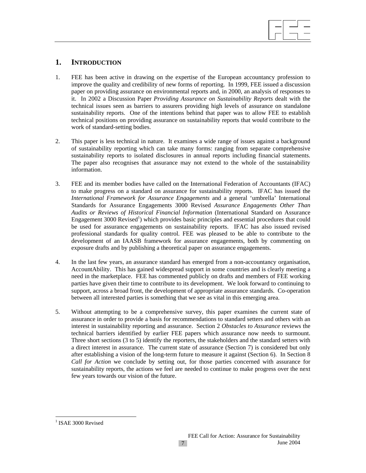# $\overline{a}$

## **1. INTRODUCTION**

- 1. FEE has been active in drawing on the expertise of the European accountancy profession to improve the quality and credibility of new forms of reporting. In 1999, FEE issued a discussion paper on providing assurance on environmental reports and, in 2000, an analysis of responses to it. In 2002 a Discussion Paper *Providing Assurance on Sustainability Reports* dealt with the technical issues seen as barriers to assurers providing high levels of assurance on standalone sustainability reports. One of the intentions behind that paper was to allow FEE to establish technical positions on providing assurance on sustainability reports that would contribute to the work of standard-setting bodies.
- 2. This paper is less technical in nature. It examines a wide range of issues against a background of sustainability reporting which can take many forms: ranging from separate comprehensive sustainability reports to isolated disclosures in annual reports including financial statements. The paper also recognises that assurance may not extend to the whole of the sustainability information.
- 3. FEE and its member bodies have called on the International Federation of Accountants (IFAC) to make progress on a standard on assurance for sustainability reports. IFAC has issued the *International Framework for Assurance Engagements* and a general 'umbrella' International Standards for Assurance Engagements 3000 Revised *Assurance Engagements Other Than Audits or Reviews of Historical Financial Information* (International Standard on Assurance Engagement 3000 Revised<sup>1</sup>) which provides basic principles and essential procedures that could be used for assurance engagements on sustainability reports. IFAC has also issued revised professional standards for quality control. FEE was pleased to be able to contribute to the development of an IAASB framework for assurance engagements, both by commenting on exposure drafts and by publishing a theoretical paper on assurance engagements.
- 4. In the last few years, an assurance standard has emerged from a non-accountancy organisation, AccountAbility. This has gained widespread support in some countries and is clearly meeting a need in the marketplace. FEE has commented publicly on drafts and members of FEE working parties have given their time to contribute to its development. We look forward to continuing to support, across a broad front, the development of appropriate assurance standards. Co-operation between all interested parties is something that we see as vital in this emerging area.
- 5. Without attempting to be a comprehensive survey, this paper examines the current state of assurance in order to provide a basis for recommendations to standard setters and others with an interest in sustainability reporting and assurance. Section 2 *Obstacles to Assurance* reviews the technical barriers identified by earlier FEE papers which assurance now needs to surmount. Three short sections (3 to 5) identify the reporters, the stakeholders and the standard setters with a direct interest in assurance. The current state of assurance (Section 7) is considered but only after establishing a vision of the long-term future to measure it against (Section 6). In Section 8 *Call for Action* we conclude by setting out, for those parties concerned with assurance for sustainability reports, the actions we feel are needed to continue to make progress over the next few years towards our vision of the future.

 $\overline{\phantom{a}}$ 

<sup>&</sup>lt;sup>1</sup> ISAE 3000 Revised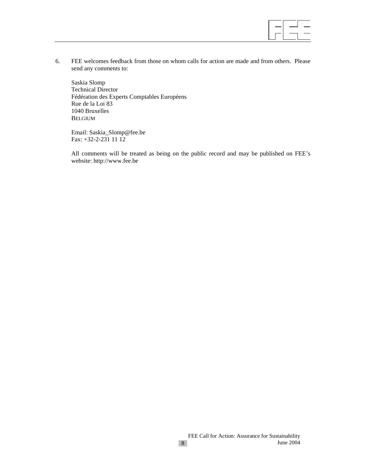

6. FEE welcomes feedback from those on whom calls for action are made and from others. Please send any comments to:

Saskia Slomp Technical Director Fédération des Experts Comptables Européens Rue de la Loi 83 1040 Bruxelles BELGIUM

Email: Saskia\_Slomp@fee.be Fax: +32-2-231 11 12

All comments will be treated as being on the public record and may be published on FEE's website: http://www.fee.be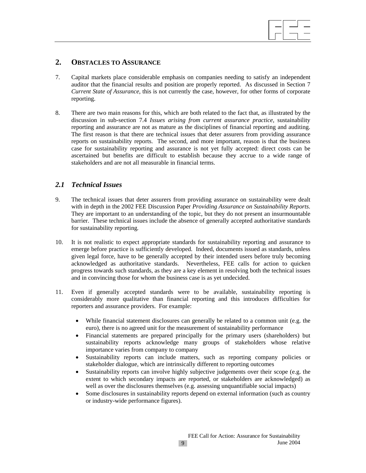

## **2. OBSTACLES TO ASSURANCE**

- 7. Capital markets place considerable emphasis on companies needing to satisfy an independent auditor that the financial results and position are properly reported. As discussed in Section 7 *Current State of Assurance*, this is not currently the case, however, for other forms of corporate reporting.
- 8. There are two main reasons for this, which are both related to the fact that, as illustrated by the discussion in sub-section 7.4 *Issues arising from current assurance practice,* sustainability reporting and assurance are not as mature as the disciplines of financial reporting and auditing. The first reason is that there are technical issues that deter assurers from providing assurance reports on sustainability reports. The second, and more important, reason is that the business case for sustainability reporting and assurance is not yet fully accepted: direct costs can be ascertained but benefits are difficult to establish because they accrue to a wide range of stakeholders and are not all measurable in financial terms.

## *2.1 Technical Issues*

- 9. The technical issues that deter assurers from providing assurance on sustainability were dealt with in depth in the 2002 FEE Discussion Paper *Providing Assurance on Sustainability Reports*. They are important to an understanding of the topic, but they do not present an insurmountable barrier. These technical issues include the absence of generally accepted authoritative standards for sustainability reporting*.*
- 10. It is not realistic to expect appropriate standards for sustainability reporting and assurance to emerge before practice is sufficiently developed. Indeed, documents issued as standards, unless given legal force, have to be generally accepted by their intended users before truly becoming acknowledged as authoritative standards. Nevertheless, FEE calls for action to quicken progress towards such standards, as they are a key element in resolving both the technical issues and in convincing those for whom the business case is as yet undecided.
- 11. Even if generally accepted standards were to be available, sustainability reporting is considerably more qualitative than financial reporting and this introduces difficulties for reporters and assurance providers. For example:
	- While financial statement disclosures can generally be related to a common unit (e.g. the euro), there is no agreed unit for the measurement of sustainability performance
	- Financial statements are prepared principally for the primary users (shareholders) but sustainability reports acknowledge many groups of stakeholders whose relative importance varies from company to company
	- Sustainability reports can include matters, such as reporting company policies or stakeholder dialogue, which are intrinsically different to reporting outcomes
	- Sustainability reports can involve highly subjective judgements over their scope (e.g. the extent to which secondary impacts are reported, or stakeholders are acknowledged) as well as over the disclosures themselves (e.g. assessing unquantifiable social impacts)
	- Some disclosures in sustainability reports depend on external information (such as country or industry-wide performance figures).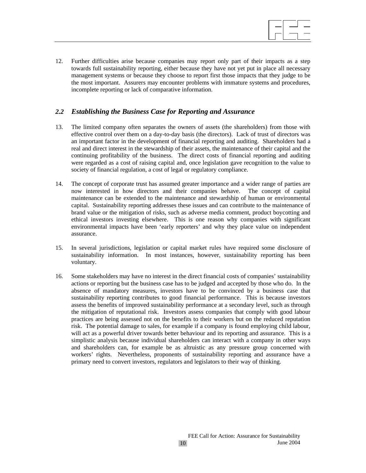

12. Further difficulties arise because companies may report only part of their impacts as a step towards full sustainability reporting, either because they have not yet put in place all necessary management systems or because they choose to report first those impacts that they judge to be the most important. Assurers may encounter problems with immature systems and procedures, incomplete reporting or lack of comparative information.

## *2.2 Establishing the Business Case for Reporting and Assurance*

- 13. The limited company often separates the owners of assets (the shareholders) from those with effective control over them on a day-to-day basis (the directors). Lack of trust of directors was an important factor in the development of financial reporting and auditing. Shareholders had a real and direct interest in the stewardship of their assets, the maintenance of their capital and the continuing profitability of the business. The direct costs of financial reporting and auditing were regarded as a cost of raising capital and, once legislation gave recognition to the value to society of financial regulation, a cost of legal or regulatory compliance.
- 14. The concept of corporate trust has assumed greater importance and a wider range of parties are now interested in how directors and their companies behave. The concept of capital maintenance can be extended to the maintenance and stewardship of human or environmental capital. Sustainability reporting addresses these issues and can contribute to the maintenance of brand value or the mitigation of risks, such as adverse media comment, product boycotting and ethical investors investing elsewhere. This is one reason why companies with significant environmental impacts have been 'early reporters' and why they place value on independent assurance.
- 15. In several jurisdictions, legislation or capital market rules have required some disclosure of sustainability information. In most instances, however, sustainability reporting has been voluntary.
- 16. Some stakeholders may have no interest in the direct financial costs of companies' sustainability actions or reporting but the business case has to be judged and accepted by those who do. In the absence of mandatory measures, investors have to be convinced by a business case that sustainability reporting contributes to good financial performance. This is because investors assess the benefits of improved sustainability performance at a secondary level, such as through the mitigation of reputational risk. Investors assess companies that comply with good labour practices are being assessed not on the benefits to their workers but on the reduced reputation risk. The potential damage to sales, for example if a company is found employing child labour, will act as a powerful driver towards better behaviour and its reporting and assurance. This is a simplistic analysis because individual shareholders can interact with a company in other ways and shareholders can, for example be as altruistic as any pressure group concerned with workers' rights. Nevertheless, proponents of sustainability reporting and assurance have a primary need to convert investors, regulators and legislators to their way of thinking.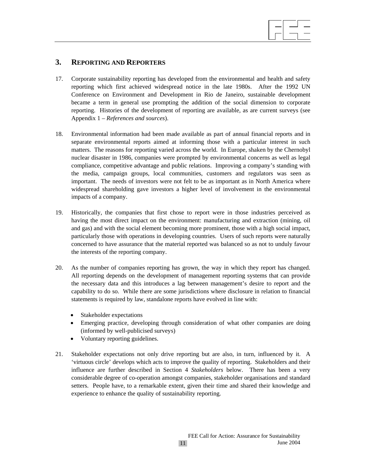## **3. REPORTING AND REPORTERS**

17. Corporate sustainability reporting has developed from the environmental and health and safety reporting which first achieved widespread notice in the late 1980s. After the 1992 UN Conference on Environment and Development in Rio de Janeiro, sustainable development became a term in general use prompting the addition of the social dimension to corporate reporting. Histories of the development of reporting are available, as are current surveys (see Appendix 1 – *References and sources*).

 $\overline{a}$ 

- 18. Environmental information had been made available as part of annual financial reports and in separate environmental reports aimed at informing those with a particular interest in such matters. The reasons for reporting varied across the world. In Europe, shaken by the Chernobyl nuclear disaster in 1986, companies were prompted by environmental concerns as well as legal compliance, competitive advantage and public relations. Improving a company's standing with the media, campaign groups, local communities, customers and regulators was seen as important. The needs of investors were not felt to be as important as in North America where widespread shareholding gave investors a higher level of involvement in the environmental impacts of a company.
- 19. Historically, the companies that first chose to report were in those industries perceived as having the most direct impact on the environment: manufacturing and extraction (mining, oil and gas) and with the social element becoming more prominent, those with a high social impact, particularly those with operations in developing countries. Users of such reports were naturally concerned to have assurance that the material reported was balanced so as not to unduly favour the interests of the reporting company.
- 20. As the number of companies reporting has grown, the way in which they report has changed. All reporting depends on the development of management reporting systems that can provide the necessary data and this introduces a lag between management's desire to report and the capability to do so. While there are some jurisdictions where disclosure in relation to financial statements is required by law, standalone reports have evolved in line with:
	- Stakeholder expectations
	- Emerging practice, developing through consideration of what other companies are doing (informed by well-publicised surveys)
	- Voluntary reporting guidelines.
- 21. Stakeholder expectations not only drive reporting but are also, in turn, influenced by it. A 'virtuous circle' develops which acts to improve the quality of reporting. Stakeholders and their influence are further described in Section 4 *Stakeholders* below. There has been a very considerable degree of co-operation amongst companies, stakeholder organisations and standard setters. People have, to a remarkable extent, given their time and shared their knowledge and experience to enhance the quality of sustainability reporting.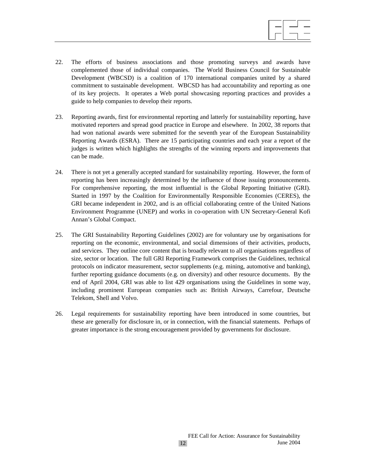

- 22. The efforts of business associations and those promoting surveys and awards have complemented those of individual companies. The World Business Council for Sustainable Development (WBCSD) is a coalition of 170 international companies united by a shared commitment to sustainable development. WBCSD has had accountability and reporting as one of its key projects. It operates a Web portal showcasing reporting practices and provides a guide to help companies to develop their reports.
- 23. Reporting awards, first for environmental reporting and latterly for sustainability reporting, have motivated reporters and spread good practice in Europe and elsewhere. In 2002, 38 reports that had won national awards were submitted for the seventh year of the European Sustainability Reporting Awards (ESRA). There are 15 participating countries and each year a report of the judges is written which highlights the strengths of the winning reports and improvements that can be made.
- 24. There is not yet a generally accepted standard for sustainability reporting. However, the form of reporting has been increasingly determined by the influence of those issuing pronouncements. For comprehensive reporting, the most influential is the Global Reporting Initiative (GRI). Started in 1997 by the Coalition for Environmentally Responsible Economies (CERES), the GRI became independent in 2002, and is an official collaborating centre of the United Nations Environment Programme (UNEP) and works in co-operation with UN Secretary-General Kofi Annan's Global Compact.
- 25. The GRI Sustainability Reporting Guidelines (2002) are for voluntary use by organisations for reporting on the economic, environmental, and social dimensions of their activities, products, and services. They outline core content that is broadly relevant to all organisations regardless of size, sector or location. The full GRI Reporting Framework comprises the Guidelines, technical protocols on indicator measurement, sector supplements (e.g. mining, automotive and banking), further reporting guidance documents (e.g. on diversity) and other resource documents. By the end of April 2004, GRI was able to list 429 organisations using the Guidelines in some way, including prominent European companies such as: British Airways, Carrefour, Deutsche Telekom, Shell and Volvo.
- 26. Legal requirements for sustainability reporting have been introduced in some countries, but these are generally for disclosure in, or in connection, with the financial statements. Perhaps of greater importance is the strong encouragement provided by governments for disclosure.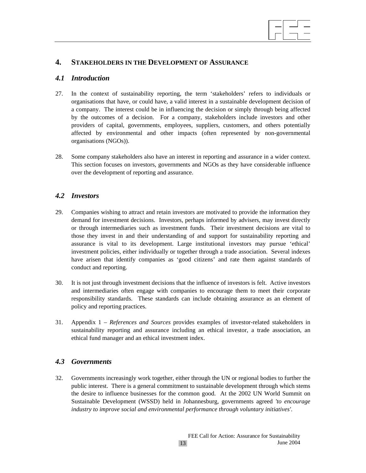

## **4. STAKEHOLDERS IN THE DEVELOPMENT OF ASSURANCE**

## *4.1 Introduction*

- 27. In the context of sustainability reporting, the term 'stakeholders' refers to individuals or organisations that have, or could have, a valid interest in a sustainable development decision of a company. The interest could be in influencing the decision or simply through being affected by the outcomes of a decision. For a company, stakeholders include investors and other providers of capital, governments, employees, suppliers, customers, and others potentially affected by environmental and other impacts (often represented by non-governmental organisations (NGOs)).
- 28. Some company stakeholders also have an interest in reporting and assurance in a wider context. This section focuses on investors, governments and NGOs as they have considerable influence over the development of reporting and assurance.

## *4.2 Investors*

- 29. Companies wishing to attract and retain investors are motivated to provide the information they demand for investment decisions. Investors, perhaps informed by advisers, may invest directly or through intermediaries such as investment funds. Their investment decisions are vital to those they invest in and their understanding of and support for sustainability reporting and assurance is vital to its development. Large institutional investors may pursue 'ethical' investment policies, either individually or together through a trade association. Several indexes have arisen that identify companies as 'good citizens' and rate them against standards of conduct and reporting.
- 30. It is not just through investment decisions that the influence of investors is felt. Active investors and intermediaries often engage with companies to encourage them to meet their corporate responsibility standards. These standards can include obtaining assurance as an element of policy and reporting practices.
- 31. Appendix 1 *References and Sources* provides examples of investor-related stakeholders in sustainability reporting and assurance including an ethical investor, a trade association, an ethical fund manager and an ethical investment index.

## *4.3 Governments*

32. Governments increasingly work together, either through the UN or regional bodies to further the public interest. There is a general commitment to sustainable development through which stems the desire to influence businesses for the common good. At the 2002 UN World Summit on Sustainable Development (WSSD) held in Johannesburg, governments agreed *'to encourage industry to improve social and environmental performance through voluntary initiatives'*.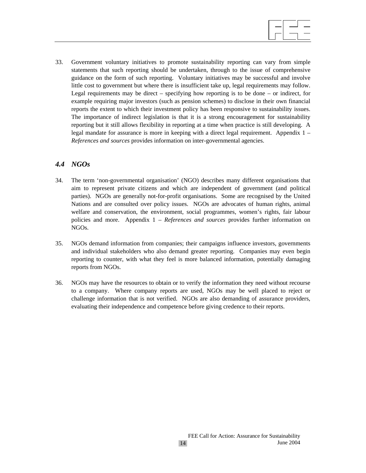

33. Government voluntary initiatives to promote sustainability reporting can vary from simple statements that such reporting should be undertaken, through to the issue of comprehensive guidance on the form of such reporting. Voluntary initiatives may be successful and involve little cost to government but where there is insufficient take up, legal requirements may follow. Legal requirements may be direct – specifying how reporting is to be done – or indirect, for example requiring major investors (such as pension schemes) to disclose in their own financial reports the extent to which their investment policy has been responsive to sustainability issues. The importance of indirect legislation is that it is a strong encouragement for sustainability reporting but it still allows flexibility in reporting at a time when practice is still developing. A legal mandate for assurance is more in keeping with a direct legal requirement. Appendix 1 – *References and sources* provides information on inter-governmental agencies.

## *4.4 NGOs*

- 34. The term 'non-governmental organisation' (NGO) describes many different organisations that aim to represent private citizens and which are independent of government (and political parties). NGOs are generally not-for-profit organisations. Some are recognised by the United Nations and are consulted over policy issues. NGOs are advocates of human rights, animal welfare and conservation, the environment, social programmes, women's rights, fair labour policies and more. Appendix 1 – *References and sources* provides further information on NGOs.
- 35. NGOs demand information from companies; their campaigns influence investors, governments and individual stakeholders who also demand greater reporting. Companies may even begin reporting to counter, with what they feel is more balanced information, potentially damaging reports from NGOs.
- 36. NGOs may have the resources to obtain or to verify the information they need without recourse to a company. Where company reports are used, NGOs may be well placed to reject or challenge information that is not verified. NGOs are also demanding of assurance providers, evaluating their independence and competence before giving credence to their reports.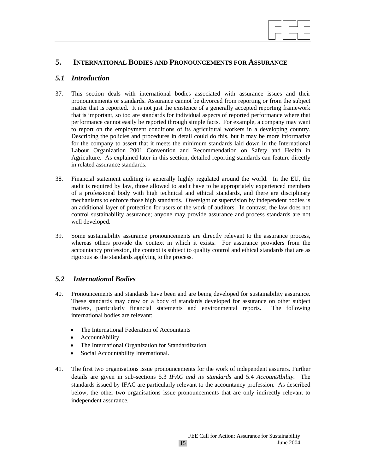# $\overline{a}$

## **5. INTERNATIONAL BODIES AND PRONOUNCEMENTS FOR ASSURANCE**

## *5.1 Introduction*

- 37. This section deals with international bodies associated with assurance issues and their pronouncements or standards. Assurance cannot be divorced from reporting or from the subject matter that is reported. It is not just the existence of a generally accepted reporting framework that is important, so too are standards for individual aspects of reported performance where that performance cannot easily be reported through simple facts. For example, a company may want to report on the employment conditions of its agricultural workers in a developing country. Describing the policies and procedures in detail could do this, but it may be more informative for the company to assert that it meets the minimum standards laid down in the International Labour Organization 2001 Convention and Recommendation on Safety and Health in Agriculture. As explained later in this section, detailed reporting standards can feature directly in related assurance standards.
- 38. Financial statement auditing is generally highly regulated around the world. In the EU, the audit is required by law, those allowed to audit have to be appropriately experienced members of a professional body with high technical and ethical standards, and there are disciplinary mechanisms to enforce those high standards. Oversight or supervision by independent bodies is an additional layer of protection for users of the work of auditors. In contrast, the law does not control sustainability assurance; anyone may provide assurance and process standards are not well developed.
- 39. Some sustainability assurance pronouncements are directly relevant to the assurance process, whereas others provide the context in which it exists. For assurance providers from the accountancy profession, the context is subject to quality control and ethical standards that are as rigorous as the standards applying to the process.

## *5.2 International Bodies*

- 40. Pronouncements and standards have been and are being developed for sustainability assurance. These standards may draw on a body of standards developed for assurance on other subject matters, particularly financial statements and environmental reports. The following international bodies are relevant:
	- The International Federation of Accountants
	- AccountAbility
	- The International Organization for Standardization
	- Social Accountability International.
- 41. The first two organisations issue pronouncements for the work of independent assurers. Further details are given in sub-sections 5.3 *IFAC and its standards* and 5.4 *AccountAbility.* The standards issued by IFAC are particularly relevant to the accountancy profession. As described below, the other two organisations issue pronouncements that are only indirectly relevant to independent assurance.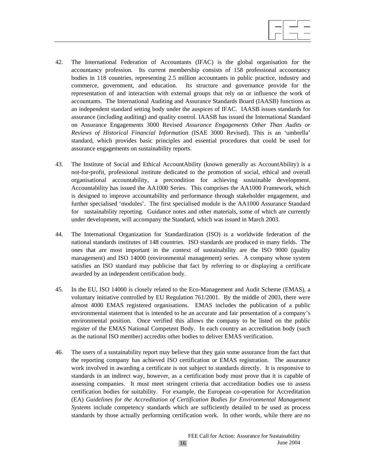

- 42. The International Federation of Accountants (IFAC) is the global organisation for the accountancy profession. Its current membership consists of 158 professional accountancy bodies in 118 countries, representing 2.5 million accountants in public practice, industry and commerce, government, and education. Its structure and governance provide for the representation of and interaction with external groups that rely on or influence the work of accountants. The International Auditing and Assurance Standards Board (IAASB) functions as an independent standard setting body under the auspices of IFAC. IAASB issues standards for assurance (including auditing) and quality control. IAASB has issued the International Standard on Assurance Engagements 3000 Revised *Assurance Engagements Other Than Audits or Reviews of Historical Financial Information* (ISAE 3000 Revised). This is an 'umbrella' standard, which provides basic principles and essential procedures that could be used for assurance engagements on sustainability reports.
- 43. The Institute of Social and Ethical AccountAbility (known generally as AccountAbility) is a not-for-profit, professional institute dedicated to the promotion of social, ethical and overall organisational accountability, a precondition for achieving sustainable development. Accountability has issued the AA1000 Series. This comprises the AA1000 Framework, which is designed to improve accountability and performance through stakeholder engagement, and further specialised 'modules'. The first specialised module is the AA1000 Assurance Standard for sustainability reporting. Guidance notes and other materials, some of which are currently under development, will accompany the Standard, which was issued in March 2003.
- 44. The International Organization for Standardization (ISO) is a worldwide federation of the national standards institutes of 148 countries. ISO standards are produced in many fields. The ones that are most important in the context of sustainability are the ISO 9000 (quality management) and ISO 14000 (environmental management) series. A company whose system satisfies an ISO standard may publicise that fact by referring to or displaying a certificate awarded by an independent certification body.
- 45. In the EU, ISO 14000 is closely related to the Eco-Management and Audit Scheme (EMAS), a voluntary initiative controlled by EU Regulation 761/2001. By the middle of 2003, there were almost 4000 EMAS registered organisations. EMAS includes the publication of a public environmental statement that is intended to be an accurate and fair presentation of a company's environmental position. Once verified this allows the company to be listed on the public register of the EMAS National Competent Body. In each country an accreditation body (such as the national ISO member) accredits other bodies to deliver EMAS verification.
- 46. The users of a sustainability report may believe that they gain some assurance from the fact that the reporting company has achieved ISO certification or EMAS registration. The assurance work involved in awarding a certificate is not subject to standards directly. It is responsive to standards in an indirect way, however, as a certification body must prove that it is capable of assessing companies. It must meet stringent criteria that accreditation bodies use to assess certification bodies for suitability. For example, the European co-operation for Accreditation (EA) *Guidelines for the Accreditation of Certification Bodies for Environmental Management Systems* include competency standards which are sufficiently detailed to be used as process standards by those actually performing certification work. In other words, while there are no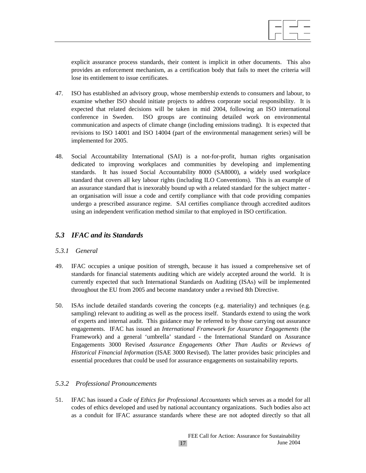explicit assurance process standards, their content is implicit in other documents. This also provides an enforcement mechanism, as a certification body that fails to meet the criteria will lose its entitlement to issue certificates.

- 47. ISO has established an advisory group, whose membership extends to consumers and labour, to examine whether ISO should initiate projects to address corporate social responsibility. It is expected that related decisions will be taken in mid 2004, following an ISO international conference in Sweden. ISO groups are continuing detailed work on environmental communication and aspects of climate change (including emissions trading). It is expected that revisions to ISO 14001 and ISO 14004 (part of the environmental management series) will be implemented for 2005.
- 48. Social Accountability International (SAI) is a not-for-profit, human rights organisation dedicated to improving workplaces and communities by developing and implementing standards. It has issued Social Accountability 8000 (SA8000), a widely used workplace standard that covers all key labour rights (including ILO Conventions). This is an example of an assurance standard that is inexorably bound up with a related standard for the subject matter an organisation will issue a code and certify compliance with that code providing companies undergo a prescribed assurance regime. SAI certifies compliance through accredited auditors using an independent verification method similar to that employed in ISO certification.

## *5.3 IFAC and its Standards*

## *5.3.1 General*

- 49. IFAC occupies a unique position of strength, because it has issued a comprehensive set of standards for financial statements auditing which are widely accepted around the world. It is currently expected that such International Standards on Auditing (ISAs) will be implemented throughout the EU from 2005 and become mandatory under a revised 8th Directive.
- 50. ISAs include detailed standards covering the concepts (e.g. materiality) and techniques (e.g. sampling) relevant to auditing as well as the process itself. Standards extend to using the work of experts and internal audit. This guidance may be referred to by those carrying out assurance engagements. IFAC has issued an *International Framework for Assurance Engagements* (the Framework) and a general 'umbrella' standard - the International Standard on Assurance Engagements 3000 Revised *Assurance Engagements Other Than Audits or Reviews of Historical Financial Information* (ISAE 3000 Revised). The latter provides basic principles and essential procedures that could be used for assurance engagements on sustainability reports.

## *5.3.2 Professional Pronouncements*

51. IFAC has issued a *Code of Ethics for Professional Accountants* which serves as a model for all codes of ethics developed and used by national accountancy organizations. Such bodies also act as a conduit for IFAC assurance standards where these are not adopted directly so that all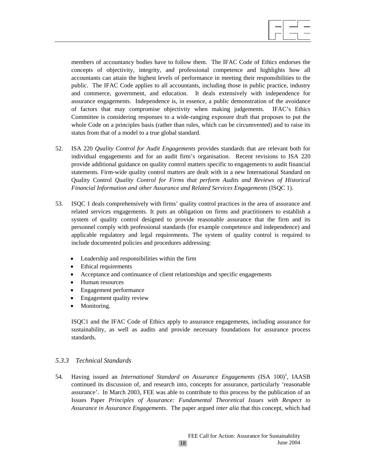

members of accountancy bodies have to follow them. The IFAC Code of Ethics endorses the concepts of objectivity, integrity, and professional competence and highlights how all accountants can attain the highest levels of performance in meeting their responsibilities to the public. The IFAC Code applies to all accountants, including those in public practice, industry and commerce, government, and education. It deals extensively with independence for assurance engagements. Independence is, in essence, a public demonstration of the avoidance of factors that may compromise objectivity when making judgements. IFAC's Ethics Committee is considering responses to a wide-ranging exposure draft that proposes to put the whole Code on a principles basis (rather than rules, which can be circumvented) and to raise its status from that of a model to a true global standard.

- 52. ISA 220 *Quality Control for Audit Engagements* provides standards that are relevant both for individual engagements and for an audit firm's organisation. Recent revisions to ISA 220 provide additional guidance on quality control matters specific to engagements to audit financial statements. Firm-wide quality control matters are dealt with in a new International Standard on Quality Control *Quality Control for Firms that perform Audits and Reviews of Historical Financial Information and other Assurance and Related Services Engagements* (ISQC 1).
- 53. ISQC 1 deals comprehensively with firms' quality control practices in the area of assurance and related services engagements. It puts an obligation on firms and practitioners to establish a system of quality control designed to provide reasonable assurance that the firm and its personnel comply with professional standards (for example competence and independence) and applicable regulatory and legal requirements. The system of quality control is required to include documented policies and procedures addressing:
	- Leadership and responsibilities within the firm
	- Ethical requirements
	- Acceptance and continuance of client relationships and specific engagements
	- Human resources
	- Engagement performance
	- Engagement quality review
	- Monitoring.

ISQC1 and the IFAC Code of Ethics apply to assurance engagements, including assurance for sustainability, as well as audits and provide necessary foundations for assurance process standards.

## *5.3.3 Technical Standards*

54. Having issued an *International Standard on Assurance Engagements* (ISA 100)<sup>1</sup>, IAASB continued its discussion of, and research into, concepts for assurance, particularly 'reasonable assurance'. In March 2003, FEE was able to contribute to this process by the publication of an Issues Paper *Principles of Assurance: Fundamental Theoretical Issues with Respect to Assurance in Assurance Engagements*. The paper argued *inter alia* that this concept, which had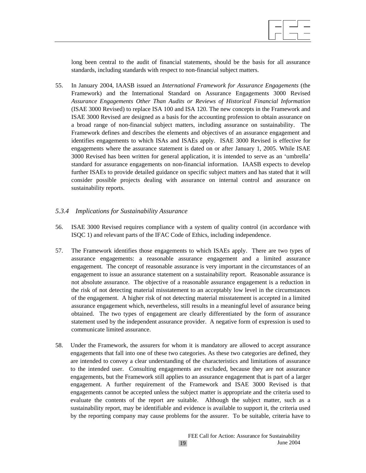$\overline{a}$ 

long been central to the audit of financial statements, should be the basis for all assurance standards, including standards with respect to non-financial subject matters.

55. In January 2004, IAASB issued an *International Framework for Assurance Engagements* (the Framework) and the International Standard on Assurance Engagements 3000 Revised *Assurance Engagements Other Than Audits or Reviews of Historical Financial Information* (ISAE 3000 Revised) to replace ISA 100 and ISA 120. The new concepts in the Framework and ISAE 3000 Revised are designed as a basis for the accounting profession to obtain assurance on a broad range of non-financial subject matters, including assurance on sustainability. The Framework defines and describes the elements and objectives of an assurance engagement and identifies engagements to which ISAs and ISAEs apply. ISAE 3000 Revised is effective for engagements where the assurance statement is dated on or after January 1, 2005. While ISAE 3000 Revised has been written for general application, it is intended to serve as an 'umbrella' standard for assurance engagements on non-financial information. IAASB expects to develop further ISAEs to provide detailed guidance on specific subject matters and has stated that it will consider possible projects dealing with assurance on internal control and assurance on sustainability reports.

## *5.3.4 Implications for Sustainability Assurance*

- 56. ISAE 3000 Revised requires compliance with a system of quality control (in accordance with ISQC 1) and relevant parts of the IFAC Code of Ethics, including independence.
- 57. The Framework identifies those engagements to which ISAEs apply. There are two types of assurance engagements: a reasonable assurance engagement and a limited assurance engagement. The concept of reasonable assurance is very important in the circumstances of an engagement to issue an assurance statement on a sustainability report. Reasonable assurance is not absolute assurance. The objective of a reasonable assurance engagement is a reduction in the risk of not detecting material misstatement to an acceptably low level in the circumstances of the engagement. A higher risk of not detecting material misstatement is accepted in a limited assurance engagement which, nevertheless, still results in a meaningful level of assurance being obtained. The two types of engagement are clearly differentiated by the form of assurance statement used by the independent assurance provider. A negative form of expression is used to communicate limited assurance.
- 58. Under the Framework, the assurers for whom it is mandatory are allowed to accept assurance engagements that fall into one of these two categories. As these two categories are defined, they are intended to convey a clear understanding of the characteristics and limitations of assurance to the intended user. Consulting engagements are excluded, because they are not assurance engagements, but the Framework still applies to an assurance engagement that is part of a larger engagement. A further requirement of the Framework and ISAE 3000 Revised is that engagements cannot be accepted unless the subject matter is appropriate and the criteria used to evaluate the contents of the report are suitable. Although the subject matter, such as a sustainability report, may be identifiable and evidence is available to support it, the criteria used by the reporting company may cause problems for the assurer. To be suitable, criteria have to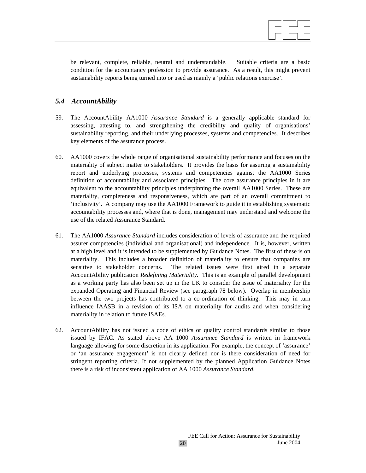be relevant, complete, reliable, neutral and understandable. Suitable criteria are a basic condition for the accountancy profession to provide assurance. As a result, this might prevent sustainability reports being turned into or used as mainly a 'public relations exercise'.

## *5.4 AccountAbility*

- 59. The AccountAbility AA1000 *Assurance Standard* is a generally applicable standard for assessing, attesting to, and strengthening the credibility and quality of organisations' sustainability reporting, and their underlying processes, systems and competencies. It describes key elements of the assurance process.
- 60. AA1000 covers the whole range of organisational sustainability performance and focuses on the materiality of subject matter to stakeholders. It provides the basis for assuring a sustainability report and underlying processes, systems and competencies against the AA1000 Series definition of accountability and associated principles. The core assurance principles in it are equivalent to the accountability principles underpinning the overall AA1000 Series. These are materiality, completeness and responsiveness, which are part of an overall commitment to 'inclusivity'. A company may use the AA1000 Framework to guide it in establishing systematic accountability processes and, where that is done, management may understand and welcome the use of the related Assurance Standard.
- 61. The AA1000 *Assurance Standard* includes consideration of levels of assurance and the required assurer competencies (individual and organisational) and independence. It is, however, written at a high level and it is intended to be supplemented by Guidance Notes. The first of these is on materiality. This includes a broader definition of materiality to ensure that companies are sensitive to stakeholder concerns. The related issues were first aired in a separate AccountAbility publication *Redefining Materiality.* This is an example of parallel development as a working party has also been set up in the UK to consider the issue of materiality for the expanded Operating and Financial Review (see paragraph 78 below). Overlap in membership between the two projects has contributed to a co-ordination of thinking. This may in turn influence IAASB in a revision of its ISA on materiality for audits and when considering materiality in relation to future ISAEs.
- 62. AccountAbility has not issued a code of ethics or quality control standards similar to those issued by IFAC. As stated above AA 1000 *Assurance Standard* is written in framework language allowing for some discretion in its application. For example, the concept of 'assurance' or 'an assurance engagement' is not clearly defined nor is there consideration of need for stringent reporting criteria. If not supplemented by the planned Application Guidance Notes there is a risk of inconsistent application of AA 1000 *Assurance Standard*.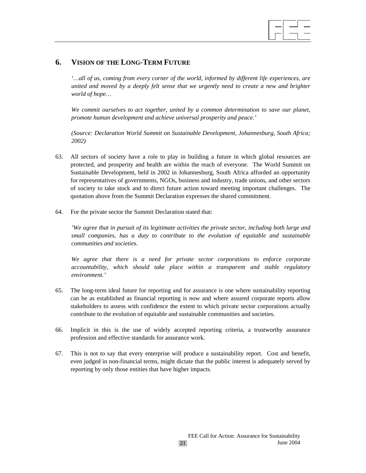

## **6. VISION OF THE LONG-TERM FUTURE**

*'…all of us, coming from every corner of the world, informed by different life experiences, are united and moved by a deeply felt sense that we urgently need to create a new and brighter world of hope…* 

*We commit ourselves to act together, united by a common determination to save our planet, promote human development and achieve universal prosperity and peace.'* 

*(Source: Declaration World Summit on Sustainable Development, Johannesburg, South Africa; 2002)* 

- 63. All sectors of society have a role to play in building a future in which global resources are protected, and prosperity and health are within the reach of everyone. The World Summit on Sustainable Development, held in 2002 in Johannesburg, South Africa afforded an opportunity for representatives of governments, NGOs, business and industry, trade unions, and other sectors of society to take stock and to direct future action toward meeting important challenges. The quotation above from the Summit Declaration expresses the shared commitment.
- 64. For the private sector the Summit Declaration stated that:

*'We agree that in pursuit of its legitimate activities the private sector, including both large and small companies, has a duty to contribute to the evolution of equitable and sustainable communities and societies.* 

*We agree that there is a need for private sector corporations to enforce corporate accountability, which should take place within a transparent and stable regulatory environment.'* 

- 65. The long-term ideal future for reporting and for assurance is one where sustainability reporting can be as established as financial reporting is now and where assured corporate reports allow stakeholders to assess with confidence the extent to which private sector corporations actually contribute to the evolution of equitable and sustainable communities and societies.
- 66. Implicit in this is the use of widely accepted reporting criteria, a trustworthy assurance profession and effective standards for assurance work.
- 67. This is not to say that every enterprise will produce a sustainability report. Cost and benefit, even judged in non-financial terms, might dictate that the public interest is adequately served by reporting by only those entities that have higher impacts.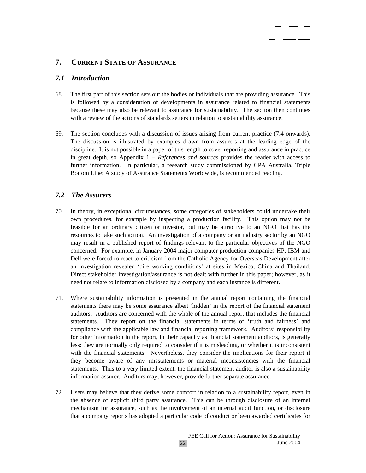## **7. CURRENT STATE OF ASSURANCE**

## *7.1 Introduction*

68. The first part of this section sets out the bodies or individuals that are providing assurance. This is followed by a consideration of developments in assurance related to financial statements because these may also be relevant to assurance for sustainability. The section then continues with a review of the actions of standards setters in relation to sustainability assurance.

 $\overline{a}$ 

69. The section concludes with a discussion of issues arising from current practice (7.4 onwards). The discussion is illustrated by examples drawn from assurers at the leading edge of the discipline. It is not possible in a paper of this length to cover reporting and assurance in practice in great depth, so Appendix 1 – *References and sources* provides the reader with access to further information. In particular, a research study commissioned by CPA Australia, Triple Bottom Line: A study of Assurance Statements Worldwide, is recommended reading.

## *7.2 The Assurers*

- 70. In theory, in exceptional circumstances, some categories of stakeholders could undertake their own procedures, for example by inspecting a production facility. This option may not be feasible for an ordinary citizen or investor, but may be attractive to an NGO that has the resources to take such action. An investigation of a company or an industry sector by an NGO may result in a published report of findings relevant to the particular objectives of the NGO concerned. For example, in January 2004 major computer production companies HP, IBM and Dell were forced to react to criticism from the Catholic Agency for Overseas Development after an investigation revealed 'dire working conditions' at sites in Mexico, China and Thailand. Direct stakeholder investigation/assurance is not dealt with further in this paper; however, as it need not relate to information disclosed by a company and each instance is different.
- 71. Where sustainability information is presented in the annual report containing the financial statements there may be some assurance albeit 'hidden' in the report of the financial statement auditors. Auditors are concerned with the whole of the annual report that includes the financial statements. They report on the financial statements in terms of 'truth and fairness' and compliance with the applicable law and financial reporting framework. Auditors' responsibility for other information in the report, in their capacity as financial statement auditors, is generally less: they are normally only required to consider if it is misleading, or whether it is inconsistent with the financial statements. Nevertheless, they consider the implications for their report if they become aware of any misstatements or material inconsistencies with the financial statements. Thus to a very limited extent, the financial statement auditor is also a sustainability information assurer. Auditors may, however, provide further separate assurance.
- 72. Users may believe that they derive some comfort in relation to a sustainability report, even in the absence of explicit third party assurance. This can be through disclosure of an internal mechanism for assurance, such as the involvement of an internal audit function, or disclosure that a company reports has adopted a particular code of conduct or been awarded certificates for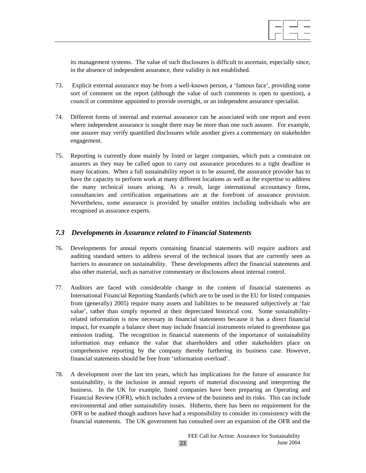

its management systems. The value of such disclosures is difficult to ascertain, especially since, in the absence of independent assurance, their validity is not established.

- 73. Explicit external assurance may be from a well-known person, a 'famous face', providing some sort of comment on the report (although the value of such comments is open to question), a council or committee appointed to provide oversight, or an independent assurance specialist.
- 74. Different forms of internal and external assurance can be associated with one report and even where independent assurance is sought there may be more than one such assurer. For example, one assurer may verify quantified disclosures while another gives a commentary on stakeholder engagement.
- 75. Reporting is currently done mainly by listed or larger companies, which puts a constraint on assurers as they may be called upon to carry out assurance procedures to a tight deadline in many locations. When a full sustainability report is to be assured, the assurance provider has to have the capacity to perform work at many different locations as well as the expertise to address the many technical issues arising. As a result, large international accountancy firms, consultancies and certification organisations are at the forefront of assurance provision. Nevertheless, some assurance is provided by smaller entities including individuals who are recognised as assurance experts.

## *7.3 Developments in Assurance related to Financial Statements*

- 76. Developments for annual reports containing financial statements will require auditors and auditing standard setters to address several of the technical issues that are currently seen as barriers to assurance on sustainability. These developments affect the financial statements and also other material, such as narrative commentary or disclosures about internal control.
- 77. Auditors are faced with considerable change in the content of financial statements as International Financial Reporting Standards (which are to be used in the EU for listed companies from (generally) 2005) require many assets and liabilities to be measured subjectively at 'fair value', rather than simply reported at their depreciated historical cost. Some sustainabilityrelated information is now necessary in financial statements because it has a direct financial impact, for example a balance sheet may include financial instruments related to greenhouse gas emission trading. The recognition in financial statements of the importance of sustainability information may enhance the value that shareholders and other stakeholders place on comprehensive reporting by the company thereby furthering its business case. However, financial statements should be free from 'information overload'.
- 78. A development over the last ten years, which has implications for the future of assurance for sustainability, is the inclusion in annual reports of material discussing and interpreting the business. In the UK for example, listed companies have been preparing an Operating and Financial Review (OFR), which includes a review of the business and its risks. This can include environmental and other sustainability issues. Hitherto, there has been no requirement for the OFR to be audited though auditors have had a responsibility to consider its consistency with the financial statements. The UK government has consulted over an expansion of the OFR and the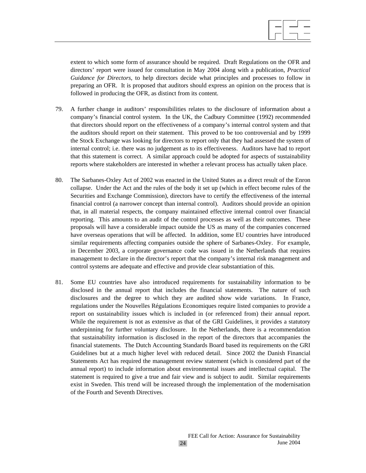

extent to which some form of assurance should be required. Draft Regulations on the OFR and directors' report were issued for consultation in May 2004 along with a publication, *Practical Guidance for Directors*, to help directors decide what principles and processes to follow in preparing an OFR. It is proposed that auditors should express an opinion on the process that is followed in producing the OFR, as distinct from its content.

- 79. A further change in auditors' responsibilities relates to the disclosure of information about a company's financial control system. In the UK, the Cadbury Committee (1992) recommended that directors should report on the effectiveness of a company's internal control system and that the auditors should report on their statement. This proved to be too controversial and by 1999 the Stock Exchange was looking for directors to report only that they had assessed the system of internal control; i.e. there was no judgement as to its effectiveness. Auditors have had to report that this statement is correct. A similar approach could be adopted for aspects of sustainability reports where stakeholders are interested in whether a relevant process has actually taken place.
- 80. The Sarbanes-Oxley Act of 2002 was enacted in the United States as a direct result of the Enron collapse. Under the Act and the rules of the body it set up (which in effect become rules of the Securities and Exchange Commission), directors have to certify the effectiveness of the internal financial control (a narrower concept than internal control). Auditors should provide an opinion that, in all material respects, the company maintained effective internal control over financial reporting. This amounts to an audit of the control processes as well as their outcomes. These proposals will have a considerable impact outside the US as many of the companies concerned have overseas operations that will be affected. In addition, some EU countries have introduced similar requirements affecting companies outside the sphere of Sarbanes-Oxley. For example, in December 2003, a corporate governance code was issued in the Netherlands that requires management to declare in the director's report that the company's internal risk management and control systems are adequate and effective and provide clear substantiation of this.
- 81. Some EU countries have also introduced requirements for sustainability information to be disclosed in the annual report that includes the financial statements. The nature of such disclosures and the degree to which they are audited show wide variations. In France, regulations under the Nouvelles Régulations Economiques require listed companies to provide a report on sustainability issues which is included in (or referenced from) their annual report. While the requirement is not as extensive as that of the GRI Guidelines, it provides a statutory underpinning for further voluntary disclosure. In the Netherlands, there is a recommendation that sustainability information is disclosed in the report of the directors that accompanies the financial statements. The Dutch Accounting Standards Board based its requirements on the GRI Guidelines but at a much higher level with reduced detail. Since 2002 the Danish Financial Statements Act has required the management review statement (which is considered part of the annual report) to include information about environmental issues and intellectual capital. The statement is required to give a true and fair view and is subject to audit. Similar requirements exist in Sweden. This trend will be increased through the implementation of the modernisation of the Fourth and Seventh Directives.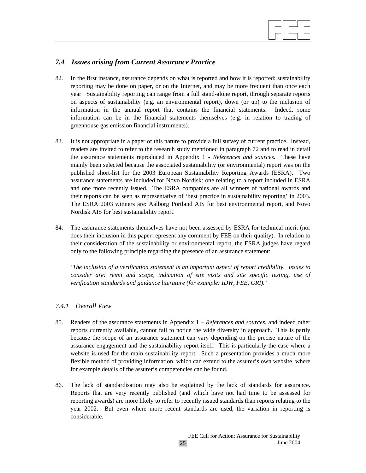

## *7.4 Issues arising from Current Assurance Practice*

- 82. In the first instance, assurance depends on what is reported and how it is reported: sustainability reporting may be done on paper, or on the Internet, and may be more frequent than once each year. Sustainability reporting can range from a full stand-alone report, through separate reports on aspects of sustainability (e.g. an environmental report), down (or up) to the inclusion of information in the annual report that contains the financial statements. Indeed, some information can be in the financial statements themselves (e.g. in relation to trading of greenhouse gas emission financial instruments).
- 83. It is not appropriate in a paper of this nature to provide a full survey of current practice. Instead, readers are invited to refer to the research study mentioned in paragraph 72 and to read in detail the assurance statements reproduced in Appendix 1 - *References and sources.* These have mainly been selected because the associated sustainability (or environmental) report was on the published short-list for the 2003 European Sustainability Reporting Awards (ESRA). Two assurance statements are included for Novo Nordisk: one relating to a report included in ESRA and one more recently issued. The ESRA companies are all winners of national awards and their reports can be seen as representative of 'best practice in sustainability reporting' in 2003. The ESRA 2003 winners are: Aalborg Portland AIS for best environmental report, and Novo Nordisk AIS for best sustainability report.
- 84. The assurance statements themselves have not been assessed by ESRA for technical merit (nor does their inclusion in this paper represent any comment by FEE on their quality). In relation to their consideration of the sustainability or environmental report, the ESRA judges have regard only to the following principle regarding the presence of an assurance statement:

*'The inclusion of a verification statement is an important aspect of report credibility. Issues to consider are: remit and scope, indication of site visits and site specific testing, use of verification standards and guidance literature (for example: IDW, FEE, GRI).'* 

## *7.4.1 Overall View*

- 85. Readers of the assurance statements in Appendix 1 *References and sources*, and indeed other reports currently available, cannot fail to notice the wide diversity in approach. This is partly because the scope of an assurance statement can vary depending on the precise nature of the assurance engagement and the sustainability report itself. This is particularly the case where a website is used for the main sustainability report. Such a presentation provides a much more flexible method of providing information, which can extend to the assurer's own website, where for example details of the assurer's competencies can be found.
- 86. The lack of standardisation may also be explained by the lack of standards for assurance. Reports that are very recently published (and which have not had time to be assessed for reporting awards) are more likely to refer to recently issued standards than reports relating to the year 2002. But even where more recent standards are used, the variation in reporting is considerable.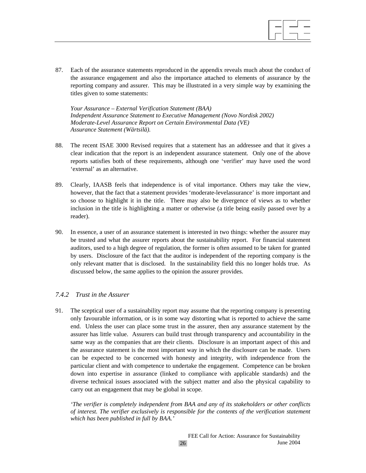

87. Each of the assurance statements reproduced in the appendix reveals much about the conduct of the assurance engagement and also the importance attached to elements of assurance by the reporting company and assurer. This may be illustrated in a very simple way by examining the titles given to some statements:

*Your Assurance – External Verification Statement (BAA) Independent Assurance Statement to Executive Management (Novo Nordisk 2002) Moderate-Level Assurance Report on Certain Environmental Data (VE) Assurance Statement (Wärtsilä).* 

- 88. The recent ISAE 3000 Revised requires that a statement has an addressee and that it gives a clear indication that the report is an independent assurance statement. Only one of the above reports satisfies both of these requirements, although one 'verifier' may have used the word 'external' as an alternative.
- 89. Clearly, IAASB feels that independence is of vital importance. Others may take the view, however, that the fact that a statement provides 'moderate-levelassurance' is more important and so choose to highlight it in the title. There may also be divergence of views as to whether inclusion in the title is highlighting a matter or otherwise (a title being easily passed over by a reader).
- 90. In essence, a user of an assurance statement is interested in two things: whether the assurer may be trusted and what the assurer reports about the sustainability report. For financial statement auditors, used to a high degree of regulation, the former is often assumed to be taken for granted by users. Disclosure of the fact that the auditor is independent of the reporting company is the only relevant matter that is disclosed. In the sustainability field this no longer holds true. As discussed below, the same applies to the opinion the assurer provides.

## *7.4.2 Trust in the Assurer*

91. The sceptical user of a sustainability report may assume that the reporting company is presenting only favourable information, or is in some way distorting what is reported to achieve the same end. Unless the user can place some trust in the assurer, then any assurance statement by the assurer has little value. Assurers can build trust through transparency and accountability in the same way as the companies that are their clients. Disclosure is an important aspect of this and the assurance statement is the most important way in which the disclosure can be made. Users can be expected to be concerned with honesty and integrity, with independence from the particular client and with competence to undertake the engagement. Competence can be broken down into expertise in assurance (linked to compliance with applicable standards) and the diverse technical issues associated with the subject matter and also the physical capability to carry out an engagement that may be global in scope.

*'The verifier is completely independent from BAA and any of its stakeholders or other conflicts of interest. The verifier exclusively is responsible for the contents of the verification statement which has been published in full by BAA.'*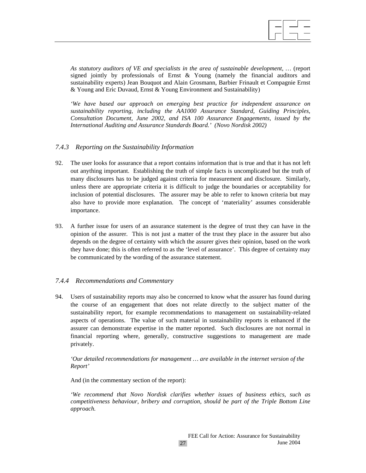*As statutory auditors of VE and specialists in the area of sustainable development, …* (report signed jointly by professionals of Ernst  $\&$  Young (namely the financial auditors and sustainability experts) Jean Bouquot and Alain Grosmann, Barbier Frinault et Compagnie Ernst & Young and Eric Duvaud, Ernst & Young Environment and Sustainability)

*'We have based our approach on emerging best practice for independent assurance on sustainability reporting, including the AA1000 Assurance Standard, Guiding Principles, Consultation Document, June 2002, and ISA 100 Assurance Engagements, issued by the International Auditing and Assurance Standards Board.' (Novo Nordisk 2002)* 

## *7.4.3 Reporting on the Sustainability Information*

- 92. The user looks for assurance that a report contains information that is true and that it has not left out anything important. Establishing the truth of simple facts is uncomplicated but the truth of many disclosures has to be judged against criteria for measurement and disclosure. Similarly, unless there are appropriate criteria it is difficult to judge the boundaries or acceptability for inclusion of potential disclosures. The assurer may be able to refer to known criteria but may also have to provide more explanation. The concept of 'materiality' assumes considerable importance.
- 93. A further issue for users of an assurance statement is the degree of trust they can have in the opinion of the assurer. This is not just a matter of the trust they place in the assurer but also depends on the degree of certainty with which the assurer gives their opinion, based on the work they have done; this is often referred to as the 'level of assurance'. This degree of certainty may be communicated by the wording of the assurance statement.

## *7.4.4 Recommendations and Commentary*

94. Users of sustainability reports may also be concerned to know what the assurer has found during the course of an engagement that does not relate directly to the subject matter of the sustainability report, for example recommendations to management on sustainability-related aspects of operations. The value of such material in sustainability reports is enhanced if the assurer can demonstrate expertise in the matter reported. Such disclosures are not normal in financial reporting where, generally, constructive suggestions to management are made privately.

*'Our detailed recommendations for management … are available in the internet version of the Report'* 

And (in the commentary section of the report):

*'We recommend that Novo Nordisk clarifies whether issues of business ethics, such as competitiveness behaviour, bribery and corruption, should be part of the Triple Bottom Line approach.*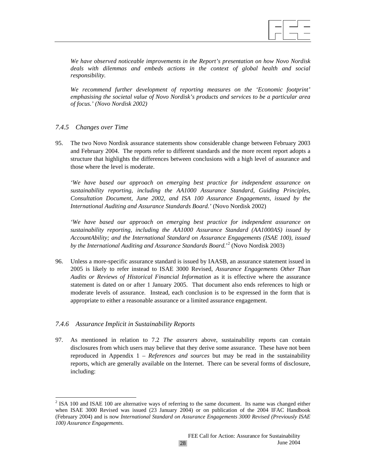

*We have observed noticeable improvements in the Report's presentation on how Novo Nordisk*  deals with dilemmas and embeds actions in the context of global health and social *responsibility.* 

*We recommend further development of reporting measures on the 'Economic footprint' emphasising the societal value of Novo Nordisk's products and services to be a particular area of focus.' (Novo Nordisk 2002)* 

## *7.4.5 Changes over Time*

95. The two Novo Nordisk assurance statements show considerable change between February 2003 and February 2004. The reports refer to different standards and the more recent report adopts a structure that highlights the differences between conclusions with a high level of assurance and those where the level is moderate.

*'We have based our approach on emerging best practice for independent assurance on sustainability reporting, including the AA1000 Assurance Standard, Guiding Principles, Consultation Document, June 2002, and ISA 100 Assurance Engagements, issued by the International Auditing and Assurance Standards Board.'* (Novo Nordisk 2002)

*'We have based our approach on emerging best practice for independent assurance on sustainability reporting, including the AA1000 Assurance Standard (AA1000AS) issued by AccountAbility; and the International Standard on Assurance Engagements (ISAE 100), issued*  by the International Auditing and Assurance Standards Board.<sup>22</sup> (Novo Nordisk 2003)

96. Unless a more-specific assurance standard is issued by IAASB, an assurance statement issued in 2005 is likely to refer instead to ISAE 3000 Revised, *Assurance Engagements Other Than Audits or Reviews of Historical Financial Information* as it is effective where the assurance statement is dated on or after 1 January 2005. That document also ends references to high or moderate levels of assurance. Instead, each conclusion is to be expressed in the form that is appropriate to either a reasonable assurance or a limited assurance engagement.

## *7.4.6 Assurance Implicit in Sustainability Reports*

 $\overline{a}$ 

97. As mentioned in relation to 7.2 *The assurers* above, sustainability reports can contain disclosures from which users may believe that they derive some assurance. These have not been reproduced in Appendix 1 – *References and sources* but may be read in the sustainability reports, which are generally available on the Internet. There can be several forms of disclosure, including:

 $2$  ISA 100 and ISAE 100 are alternative ways of referring to the same document. Its name was changed either when ISAE 3000 Revised was issued (23 January 2004) or on publication of the 2004 IFAC Handbook (February 2004) and is now *International Standard on Assurance Engagements 3000 Revised (Previously ISAE 100) Assurance Engagements*.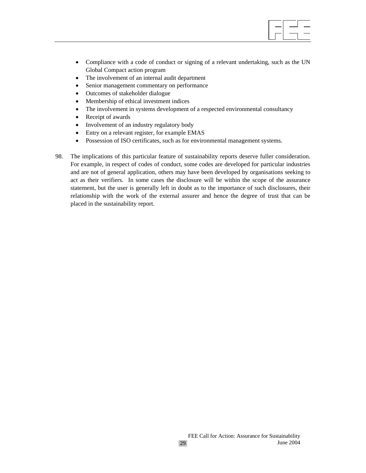

- Compliance with a code of conduct or signing of a relevant undertaking, such as the UN Global Compact action program
- The involvement of an internal audit department
- Senior management commentary on performance
- Outcomes of stakeholder dialogue
- Membership of ethical investment indices
- The involvement in systems development of a respected environmental consultancy
- Receipt of awards
- Involvement of an industry regulatory body
- Entry on a relevant register, for example EMAS
- Possession of ISO certificates, such as for environmental management systems.
- 98. The implications of this particular feature of sustainability reports deserve fuller consideration. For example, in respect of codes of conduct, some codes are developed for particular industries and are not of general application, others may have been developed by organisations seeking to act as their verifiers. In some cases the disclosure will be within the scope of the assurance statement, but the user is generally left in doubt as to the importance of such disclosures, their relationship with the work of the external assurer and hence the degree of trust that can be placed in the sustainability report.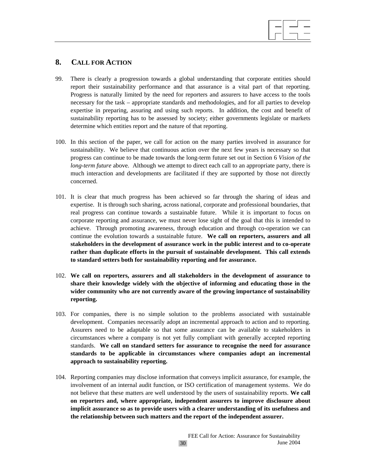## **8. CALL FOR ACTION**

99. There is clearly a progression towards a global understanding that corporate entities should report their sustainability performance and that assurance is a vital part of that reporting. Progress is naturally limited by the need for reporters and assurers to have access to the tools necessary for the task – appropriate standards and methodologies, and for all parties to develop expertise in preparing, assuring and using such reports. In addition, the cost and benefit of sustainability reporting has to be assessed by society; either governments legislate or markets determine which entities report and the nature of that reporting.

 $\overline{a}$ 

- 100. In this section of the paper, we call for action on the many parties involved in assurance for sustainability. We believe that continuous action over the next few years is necessary so that progress can continue to be made towards the long-term future set out in Section 6 *Vision of the long-term future* above. Although we attempt to direct each call to an appropriate party, there is much interaction and developments are facilitated if they are supported by those not directly concerned.
- 101. It is clear that much progress has been achieved so far through the sharing of ideas and expertise. It is through such sharing, across national, corporate and professional boundaries, that real progress can continue towards a sustainable future. While it is important to focus on corporate reporting and assurance, we must never lose sight of the goal that this is intended to achieve. Through promoting awareness, through education and through co-operation we can continue the evolution towards a sustainable future. **We call on reporters, assurers and all stakeholders in the development of assurance work in the public interest and to co-operate rather than duplicate efforts in the pursuit of sustainable development. This call extends to standard setters both for sustainability reporting and for assurance.**
- 102. **We call on reporters, assurers and all stakeholders in the development of assurance to share their knowledge widely with the objective of informing and educating those in the wider community who are not currently aware of the growing importance of sustainability reporting.**
- 103. For companies, there is no simple solution to the problems associated with sustainable development. Companies necessarily adopt an incremental approach to action and to reporting. Assurers need to be adaptable so that some assurance can be available to stakeholders in circumstances where a company is not yet fully compliant with generally accepted reporting standards. **We call on standard setters for assurance to recognise the need for assurance standards to be applicable in circumstances where companies adopt an incremental approach to sustainability reporting.**
- 104. Reporting companies may disclose information that conveys implicit assurance, for example, the involvement of an internal audit function, or ISO certification of management systems. We do not believe that these matters are well understood by the users of sustainability reports. **We call on reporters and, where appropriate, independent assurers to improve disclosure about implicit assurance so as to provide users with a clearer understanding of its usefulness and the relationship between such matters and the report of the independent assurer.**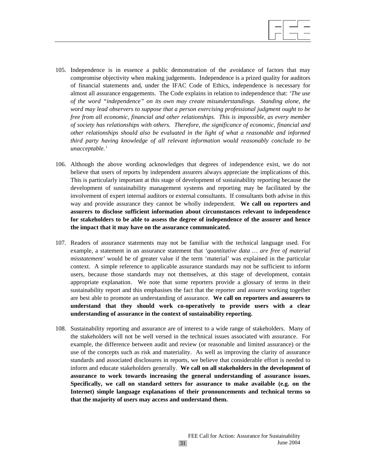- 105. Independence is in essence a public demonstration of the avoidance of factors that may compromise objectivity when making judgements. Independence is a prized quality for auditors of financial statements and, under the IFAC Code of Ethics, independence is necessary for almost all assurance engagements. The Code explains in relation to independence that: *'The use of the word "independence" on its own may create misunderstandings. Standing alone, the word may lead observers to suppose that a person exercising professional judgment ought to be free from all economic, financial and other relationships. This is impossible, as every member of society has relationships with others. Therefore, the significance of economic, financial and other relationships should also be evaluated in the light of what a reasonable and informed third party having knowledge of all relevant information would reasonably conclude to be unacceptable.'*
- 106. Although the above wording acknowledges that degrees of independence exist, we do not believe that users of reports by independent assurers always appreciate the implications of this. This is particularly important at this stage of development of sustainability reporting because the development of sustainability management systems and reporting may be facilitated by the involvement of expert internal auditors or external consultants. If consultants both advise in this way and provide assurance they cannot be wholly independent. **We call on reporters and assurers to disclose sufficient information about circumstances relevant to independence for stakeholders to be able to assess the degree of independence of the assurer and hence the impact that it may have on the assurance communicated.**
- 107. Readers of assurance statements may not be familiar with the technical language used. For example, a statement in an assurance statement that *'quantitative data … are free of material misstatement'* would be of greater value if the term 'material' was explained in the particular context. A simple reference to applicable assurance standards may not be sufficient to inform users, because those standards may not themselves, at this stage of development, contain appropriate explanation. We note that some reporters provide a glossary of terms in their sustainability report and this emphasises the fact that the reporter and assurer working together are best able to promote an understanding of assurance. **We call on reporters and assurers to understand that they should work co-operatively to provide users with a clear understanding of assurance in the context of sustainability reporting.**
- 108. Sustainability reporting and assurance are of interest to a wide range of stakeholders. Many of the stakeholders will not be well versed in the technical issues associated with assurance. For example, the difference between audit and review (or reasonable and limited assurance) or the use of the concepts such as risk and materiality. As well as improving the clarity of assurance standards and associated disclosures in reports, we believe that considerable effort is needed to inform and educate stakeholders generally. **We call on all stakeholders in the development of assurance to work towards increasing the general understanding of assurance issues. Specifically, we call on standard setters for assurance to make available (e.g. on the Internet) simple language explanations of their pronouncements and technical terms so that the majority of users may access and understand them.**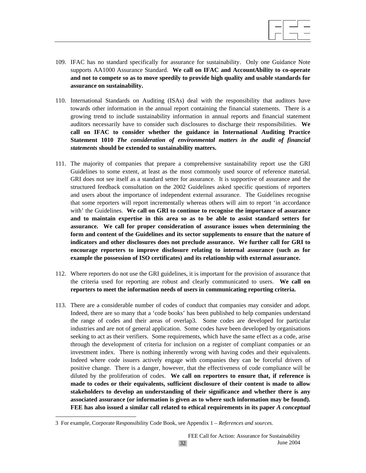

- 109. IFAC has no standard specifically for assurance for sustainability. Only one Guidance Note supports AA1000 Assurance Standard. **We call on IFAC and AccountAbility to co-operate and not to compete so as to move speedily to provide high quality and usable standards for assurance on sustainability.**
- 110. International Standards on Auditing (ISAs) deal with the responsibility that auditors have towards other information in the annual report containing the financial statements. There is a growing trend to include sustainability information in annual reports and financial statement auditors necessarily have to consider such disclosures to discharge their responsibilities. **We call on IFAC to consider whether the guidance in International Auditing Practice Statement 1010** *The consideration of environmental matters in the audit of financial statements* **should be extended to sustainability matters.**
- 111. The majority of companies that prepare a comprehensive sustainability report use the GRI Guidelines to some extent, at least as the most commonly used source of reference material. GRI does not see itself as a standard setter for assurance. It is supportive of assurance and the structured feedback consultation on the 2002 Guidelines asked specific questions of reporters and users about the importance of independent external assurance. The Guidelines recognise that some reporters will report incrementally whereas others will aim to report 'in accordance with' the Guidelines. **We call on GRI to continue to recognise the importance of assurance and to maintain expertise in this area so as to be able to assist standard setters for assurance. We call for proper consideration of assurance issues when determining the form and content of the Guidelines and its sector supplements to ensure that the nature of indicators and other disclosures does not preclude assurance. We further call for GRI to encourage reporters to improve disclosure relating to internal assurance (such as for example the possession of ISO certificates) and its relationship with external assurance.**
- 112. Where reporters do not use the GRI guidelines, it is important for the provision of assurance that the criteria used for reporting are robust and clearly communicated to users. **We call on reporters to meet the information needs of users in communicating reporting criteria.**
- 113. There are a considerable number of codes of conduct that companies may consider and adopt. Indeed, there are so many that a 'code books' has been published to help companies understand the range of codes and their areas of overlap3. Some codes are developed for particular industries and are not of general application. Some codes have been developed by organisations seeking to act as their verifiers. Some requirements, which have the same effect as a code, arise through the development of criteria for inclusion on a register of compliant companies or an investment index. There is nothing inherently wrong with having codes and their equivalents. Indeed where code issuers actively engage with companies they can be forceful drivers of positive change. There is a danger, however, that the effectiveness of code compliance will be diluted by the proliferation of codes. **We call on reporters to ensure that, if reference is made to codes or their equivalents, sufficient disclosure of their content is made to allow stakeholders to develop an understanding of their significance and whether there is any associated assurance (or information is given as to where such information may be found). FEE has also issued a similar call related to ethical requirements in its paper** *A conceptual*

 $\overline{\phantom{a}}$ 

<sup>3</sup> For example, Corporate Responsibility Code Book, see Appendix 1 – *References and sources.*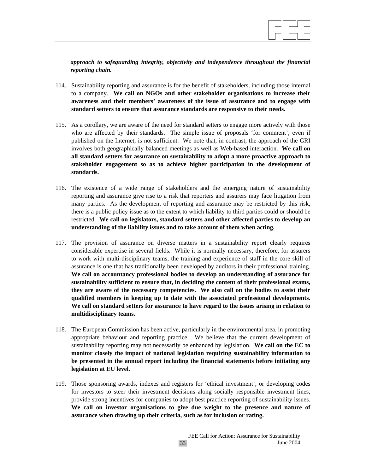

*approach to safeguarding integrity, objectivity and independence throughout the financial reporting chain.*

- 114. Sustainability reporting and assurance is for the benefit of stakeholders, including those internal to a company. **We call on NGOs and other stakeholder organisations to increase their awareness and their members' awareness of the issue of assurance and to engage with standard setters to ensure that assurance standards are responsive to their needs.**
- 115. As a corollary, we are aware of the need for standard setters to engage more actively with those who are affected by their standards. The simple issue of proposals 'for comment', even if published on the Internet, is not sufficient. We note that, in contrast, the approach of the GRI involves both geographically balanced meetings as well as Web-based interaction. **We call on all standard setters for assurance on sustainability to adopt a more proactive approach to stakeholder engagement so as to achieve higher participation in the development of standards.**
- 116. The existence of a wide range of stakeholders and the emerging nature of sustainability reporting and assurance give rise to a risk that reporters and assurers may face litigation from many parties. As the development of reporting and assurance may be restricted by this risk, there is a public policy issue as to the extent to which liability to third parties could or should be restricted. **We call on legislators, standard setters and other affected parties to develop an understanding of the liability issues and to take account of them when acting.**
- 117. The provision of assurance on diverse matters in a sustainability report clearly requires considerable expertise in several fields. While it is normally necessary, therefore, for assurers to work with multi-disciplinary teams, the training and experience of staff in the core skill of assurance is one that has traditionally been developed by auditors in their professional training. **We call on accountancy professional bodies to develop an understanding of assurance for sustainability sufficient to ensure that, in deciding the content of their professional exams, they are aware of the necessary competencies. We also call on the bodies to assist their qualified members in keeping up to date with the associated professional developments. We call on standard setters for assurance to have regard to the issues arising in relation to multidisciplinary teams.**
- 118. The European Commission has been active, particularly in the environmental area, in promoting appropriate behaviour and reporting practice. We believe that the current development of sustainability reporting may not necessarily be enhanced by legislation. **We call on the EC to monitor closely the impact of national legislation requiring sustainability information to be presented in the annual report including the financial statements before initiating any legislation at EU level.**
- 119. Those sponsoring awards, indexes and registers for 'ethical investment', or developing codes for investors to steer their investment decisions along socially responsible investment lines, provide strong incentives for companies to adopt best practice reporting of sustainability issues. **We call on investor organisations to give due weight to the presence and nature of assurance when drawing up their criteria, such as for inclusion or rating.**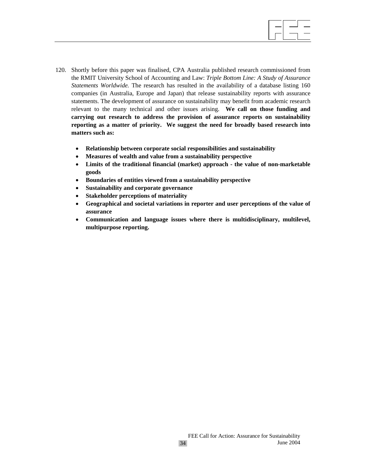120. Shortly before this paper was finalised, CPA Australia published research commissioned from the RMIT University School of Accounting and Law: *Triple Bottom Line: A Study of Assurance Statements Worldwide.* The research has resulted in the availability of a database listing 160 companies (in Australia, Europe and Japan) that release sustainability reports with assurance statements. The development of assurance on sustainability may benefit from academic research relevant to the many technical and other issues arising. **We call on those funding and carrying out research to address the provision of assurance reports on sustainability reporting as a matter of priority. We suggest the need for broadly based research into matters such as:**

 $\overline{a}$ 

- **Relationship between corporate social responsibilities and sustainability**
- **Measures of wealth and value from a sustainability perspective**
- **Limits of the traditional financial (market) approach the value of non-marketable goods**
- **Boundaries of entities viewed from a sustainability perspective**
- **Sustainability and corporate governance**
- **Stakeholder perceptions of materiality**
- **Geographical and societal variations in reporter and user perceptions of the value of assurance**
- **Communication and language issues where there is multidisciplinary, multilevel, multipurpose reporting.**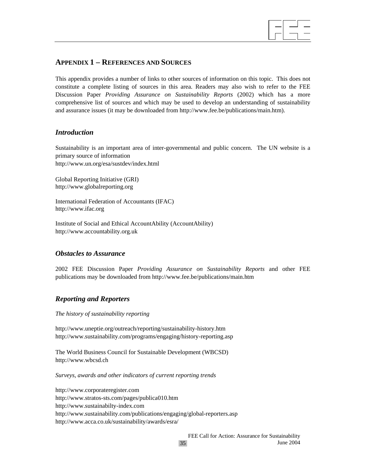

## **APPENDIX 1 – REFERENCES AND SOURCES**

This appendix provides a number of links to other sources of information on this topic. This does not constitute a complete listing of sources in this area. Readers may also wish to refer to the FEE Discussion Paper *Providing Assurance on Sustainability Reports* (2002) which has a more comprehensive list of sources and which may be used to develop an understanding of sustainability and assurance issues (it may be downloaded from http://www.fee.be/publications/main.htm).

## *Introduction*

Sustainability is an important area of inter-governmental and public concern. The UN website is a primary source of information http://www.un.org/esa/sustdev/index.html

Global Reporting Initiative (GRI) http://www.globalreporting.org

International Federation of Accountants (IFAC) http://www.ifac.org

Institute of Social and Ethical AccountAbility (AccountAbility) http://www.accountability.org.uk

## *Obstacles to Assurance*

2002 FEE Discussion Paper *Providing Assurance on Sustainability Reports* and other FEE publications may be downloaded from http://www.fee.be/publications/main.htm

## *Reporting and Reporters*

*The history of sustainability reporting* 

http://www.uneptie.org/outreach/reporting/sustainability-history.htm http://www.sustainability.com/programs/engaging/history-reporting.asp

The World Business Council for Sustainable Development (WBCSD) http://www.wbcsd.ch

*Surveys, awards and other indicators of current reporting trends* 

http://www.corporateregister.com http://www.stratos-sts.com/pages/publica010.htm http://www.sustainabilty-index.com http://www.sustainability.com/publications/engaging/global-reporters.asp http://www.acca.co.uk/sustainability/awards/esra/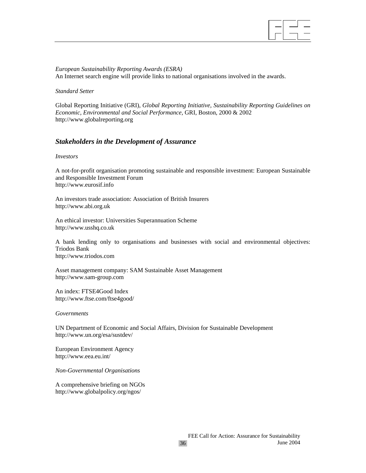

*European Sustainability Reporting Awards (ESRA)*  An Internet search engine will provide links to national organisations involved in the awards.

#### *Standard Setter*

Global Reporting Initiative (GRI), *Global Reporting Initiative, Sustainability Reporting Guidelines on Economic, Environmental and Social Performance,* GRI, Boston, 2000 & 2002 http://www.globalreporting.org

## *Stakeholders in the Development of Assurance*

#### *Investors*

A not-for-profit organisation promoting sustainable and responsible investment: European Sustainable and Responsible Investment Forum http://www.eurosif.info

An investors trade association: Association of British Insurers http://www.abi.org.uk

An ethical investor: Universities Superannuation Scheme http://www.usshq.co.uk

A bank lending only to organisations and businesses with social and environmental objectives: Triodos Bank http://www.triodos.com

Asset management company: SAM Sustainable Asset Management http://www.sam-group.com

An index: FTSE4Good Index http://www.ftse.com/ftse4good/

#### *Governments*

UN Department of Economic and Social Affairs, Division for Sustainable Development http://www.un.org/esa/sustdev/

European Environment Agency http://www.eea.eu.int/

*Non-Governmental Organisations* 

A comprehensive briefing on NGOs http://www.globalpolicy.org/ngos/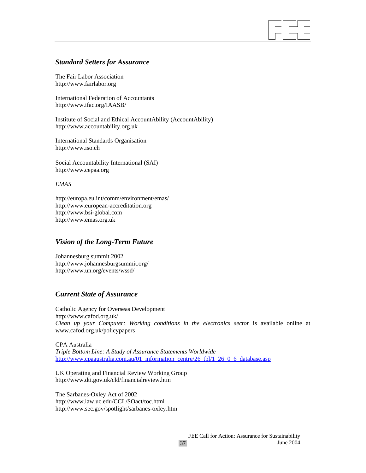## *Standard Setters for Assurance*

The Fair Labor Association http://www.fairlabor.org

International Federation of Accountants http://www.ifac.org/IAASB/

Institute of Social and Ethical AccountAbility (AccountAbility) http://www.accountability.org.uk

International Standards Organisation http://www.iso.ch

Social Accountability International (SAI) http://www.cepaa.org

## *EMAS*

http://europa.eu.int/comm/environment/emas/ http://www.european-accreditation.org http://www.bsi-global.com http://www.emas.org.uk

## *Vision of the Long-Term Future*

Johannesburg summit 2002 http://www.johannesburgsummit.org/ http://www.un.org/events/wssd/

## *Current State of Assurance*

Catholic Agency for Overseas Development http://www.cafod.org.uk/ *Clean up your Computer: Working conditions in the electronics sector* is available online at www.cafod.org.uk/policypapers

CPA Australia *Triple Bottom Line: A Study of Assurance Statements Worldwide*  http://www.cpaaustralia.com.au/01\_information\_centre/26\_tbl/1\_26\_0\_6\_database.asp

UK Operating and Financial Review Working Group http://www.dti.gov.uk/cld/financialreview.htm

The Sarbanes-Oxley Act of 2002 http://www.law.uc.edu/CCL/SOact/toc.html http://www.sec.gov/spotlight/sarbanes-oxley.htm  $\overline{a}$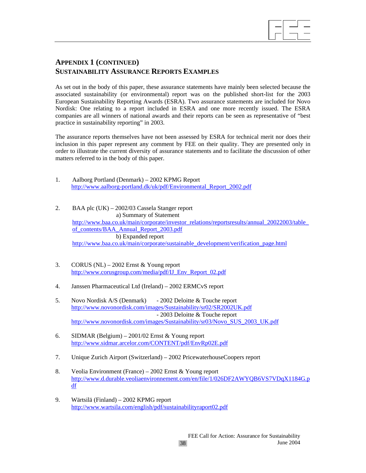

## **APPENDIX 1 (CONTINUED) SUSTAINABILITY ASSURANCE REPORTS EXAMPLES**

As set out in the body of this paper, these assurance statements have mainly been selected because the associated sustainability (or environmental) report was on the published short-list for the 2003 European Sustainability Reporting Awards (ESRA). Two assurance statements are included for Novo Nordisk: One relating to a report included in ESRA and one more recently issued. The ESRA companies are all winners of national awards and their reports can be seen as representative of "best practice in sustainability reporting" in 2003.

The assurance reports themselves have not been assessed by ESRA for technical merit nor does their inclusion in this paper represent any comment by FEE on their quality. They are presented only in order to illustrate the current diversity of assurance statements and to facilitate the discussion of other matters referred to in the body of this paper.

| Aalborg Portland (Denmark) – 2002 KPMG Report                       |  |
|---------------------------------------------------------------------|--|
| http://www.aalborg-portland.dk/uk/pdf/Environmental Report 2002.pdf |  |

- 2. BAA plc (UK) 2002/03 Cassela Stanger report a) Summary of Statement http://www.baa.co.uk/main/corporate/investor\_relations/reportsresults/annual\_20022003/table\_ of\_contents/BAA\_Annual\_Report\_2003.pdf b) Expanded report http://www.baa.co.uk/main/corporate/sustainable\_development/verification\_page.html
- 3. CORUS (NL) 2002 Ernst & Young report http://www.corusgroup.com/media/pdf/IJ\_Env\_Report\_02.pdf
- 4. Janssen Pharmaceutical Ltd (Ireland) 2002 ERMCvS report
- 5. Novo Nordisk A/S (Denmark) 2002 Deloitte & Touche report http://www.novonordisk.com/images/Sustainability/sr02/SR2002UK.pdf - 2003 Deloitte & Touche report http://www.novonordisk.com/images/Sustainability/sr03/Novo\_SUS\_2003\_UK.pdf
- 6. SIDMAR (Belgium) 2001/02 Ernst & Young report http://www.sidmar.arcelor.com/CONTENT/pdf/EnvRp02E.pdf
- 7. Unique Zurich Airport (Switzerland) 2002 PricewaterhouseCoopers report
- 8. Veolia Environment (France) 2002 Ernst & Young report http://www.d.durable.veoliaenvironnement.com/en/file/1/026DF2AWYQB6VS7VDqX1184G.p df
- 9. Wärtsilä (Finland) 2002 KPMG report http://www.wartsila.com/english/pdf/sustainabilityraport02.pdf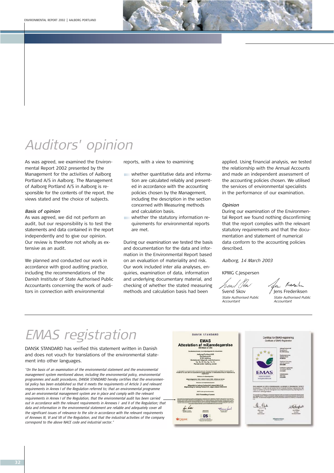# Auditors' opinion

As was agreed, we examined the Environmental Report 2002 presented by the Management for the activities of Aalborg Portland A/S in Aalborg. The Management of Aalborg Portland A/S in Aalborg is responsible for the contents of the report, the views stated and the choice of subjects.

#### Basis of opinion

As was agreed, we did not perform an audit, but our responsibility is to test the statements and data contained in the report independently and to give our opinion. Our review is therefore not wholly as extensive as an audit.

We planned and conducted our work in accordance with good auditing practice, including the recommendations of the Danish Institute of State Authorised Public Accountants concerning the work of auditors in connection with environmental

EMAS registration

reports, with a view to examining

whether quantitative data and information are calculated reliably and presented in accordance with the accounting policies chosen by the Management, including the description in the section concerned with Measuring methods and calculation basis.

whether the statutory information requirements for environmental reports are met.

During our examination we tested the basis and documentation for the data and information in the Environmental Report based on an evaluation of materiality and risk. Our work included inter alia analyses, enquiries, examination of data, information and underlying documentary material, and checking of whether the stated measuring methods and calculation basis had been

applied. Using financial analysis, we tested the relationship with the Annual Accounts and made an independent assessment of the accounting policies chosen. We utilised the services of environmental specialists in the performance of our examination.

#### Opinion

During our examination of the Environmental Report we found nothing disconfirming that the report complies with the relevant statutory requirements and that the documentation and statement of numerical data conform to the accounting policies described.

Aalborg, 14 March 2003

KPMG C.Jespersen

Accountant Accountant



| ENAS TERISU dUOTI                                                                                                                                                                                                                                                                                                                                                                                                                                                                                                                                                                                                                                                                                                                                                                                                                                                                                                                                                                                                                                                                                           | DANSK STANDARD<br><b>EMAS</b>                                                                                                                                                                                                                                                                                                                                                                                                                                                                        | Certifikat for EMAS-registrering<br>Certificate of EMAS-Registration                                                                                                                                                                                                                                                                                                                                                                                                                                                       |
|-------------------------------------------------------------------------------------------------------------------------------------------------------------------------------------------------------------------------------------------------------------------------------------------------------------------------------------------------------------------------------------------------------------------------------------------------------------------------------------------------------------------------------------------------------------------------------------------------------------------------------------------------------------------------------------------------------------------------------------------------------------------------------------------------------------------------------------------------------------------------------------------------------------------------------------------------------------------------------------------------------------------------------------------------------------------------------------------------------------|------------------------------------------------------------------------------------------------------------------------------------------------------------------------------------------------------------------------------------------------------------------------------------------------------------------------------------------------------------------------------------------------------------------------------------------------------------------------------------------------------|----------------------------------------------------------------------------------------------------------------------------------------------------------------------------------------------------------------------------------------------------------------------------------------------------------------------------------------------------------------------------------------------------------------------------------------------------------------------------------------------------------------------------|
| DANSK STANDARD has verified this statement written in Danish<br>and does not vouch for translations of the environmental state-<br>ment into other languages.                                                                                                                                                                                                                                                                                                                                                                                                                                                                                                                                                                                                                                                                                                                                                                                                                                                                                                                                               | <b>Attestation af miljøredegørelse</b><br>16.Atlest or 24<br><b>Aalborg Portland A/S</b><br>Rardaksvej 44<br>9100 Aalborg<br>fattende falgende matrikelnur<br>ta, 1k, 1l, 1m, 1p, 1n, 1o<br>lendal under Aalborg Jorde                                                                                                                                                                                                                                                                               | <b>Askung Partistst ATE</b><br><b>Rondstevej AA</b><br><b>OK 3100 Authors</b><br><b>Registration</b><br>Northern Person<br>121406-012<br><b>Service waster</b><br>03-65-2006                                                                                                                                                                                                                                                                                                                                               |
| "On the basis of an examination of the environmental statement and the environmental<br>management system mentioned above, including the environmental policy, environmental<br>programmes and audit procedures, DANSK STANDARD hereby certifies that the environmen-<br>tal policy has been established so that it meets the requirements of Article 3 and relevant<br>requirements in Annex I of the Regulation referred to; that an environmental programme<br>and an environmental management system are in place and comply with the relevant<br>requirements in Annex I of the Regulation, that the environmental audit has been carried<br>out in accordance with the relevant requirements in Annexes I and II of the Regulation; that<br>data and information in the environmental statement are reliable and adequately cover all<br>the significant issues of relevance to the site in accordance with the relevant requirements<br>of Annexes III, VI and VII of the Regulation, and that the industrial activities of the company<br>correspond to the above NACE code and industrial sector." | ajākti ūnommažotamatas mad klāvustis kūze i Europa-Pietamanteis og Ridota Forontning (EF) nr.<br>Ir 19. marts 2001 om arganisationem friviliga datugsise i an fisikotaksisomtiting for miljoleiteko og<br>Alijavedegavalse 2002, ziatovet rautu 2003. aftatot på daras<br>Miljapolità far Aalborg Portland ANI datoret 2022.07.05<br>Miljahändbog for Asiborg Portland ANI, udgave dateret 2002.06.85<br>ACC kode og kransheemråde<br>26.91 From villion of canwell<br>3561-62-80<br><b>ST DANAK</b> | Seddianut er gyldgå aut<br>This posttown or water unit<br>11-05-2084<br><b>EMAS</b><br>2550494488<br><b>Jank of court</b><br>VERIFICERET<br>2542-2003<br>MILJOLEDELSE<br>har inclust at miljoistelessaystem, og udattejdet an inførredegeretet i frenhett f<br>EFI nr. 1913/881 med det fortilit at tremne en latennix lorbedring af argjetiaantmene milje<br>isats og resultates, og intlumene ofterstigherier l'entris. Måjuhellebasssystemet og rivilig<br>rificaced of an onlinencoty tradegord<br><b>Usertyrelser</b> |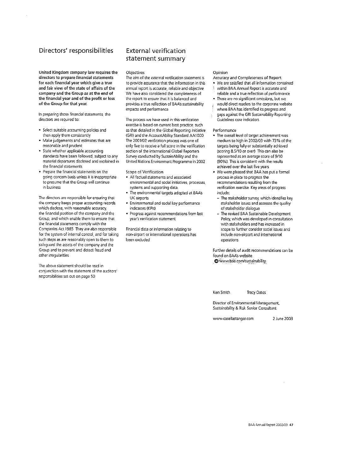## Directors' responsibilities

United Kingdom company law requires the directors to prepare financial statements for each financial year which give a true and fair view of the state of affairs of the company and the Group as at the end of the financial year and of the profit or loss of the Group for that year.

In preparing those financial statements, the directors are required to:

- · Select suitable accounting policies and then apply them consistently
- · Make judgements and estimates that are reasonable and prudent
- · State whether applicable accounting standards have been followed, subject to any material departures disclosed and explained in the financial statements
- · Prepare the financial statements on the going concern basis unless it is inappropriate to presume that the Group will continue in business

The directors are responsible for ensuring that the company keeps proper accounting records which disclose, with reasonable accuracy, the financial position of the company and the Group, and which enable them to ensure that the financial statements comply with the Companies Act 1985 They are also responsible for the system of internal control, and for taking such steps as are reasonably open to them to safeguard the assets of the company and the Group and to prevent and detect fraud and other irregularities

The above statement should be read in conjunction with the statement of the auditors' responsibilities set out on page 50.

## **External verification** statement summary

Objectives

The aim of the external verification statement is to provide assurance that the information in this annual report is accurate, reliable and objective We have also considered the completeness of the report to ensure that it is balanced and provides a true reflection of BAA's sustainability impacts and performance.

The process we have used in this verification exercise is based on current best practice such as that detailed in the Global Reporting Initiative (GRI) and the AccountAbility Standard AA1000 The 2001/02 verification process was one of only five to receive a full score in the verification section of the international Global Reporters Survey conducted by SustainAbility and the United Nations Environment Programme in 2002

Scope of Verification

- . All factual statements and associated environmental and social initiatives, processes, systems and supporting data.
- The environmental targets adopted at BAA's UK airports.
- Environmental and social key performance indicators (KPIs)
- · Progress against recommendations from last year's verification statement

Financial data or information relating to non-airport or international operations has been excluded

#### Opinion

- Accuracy and Completeness of Report
- We are satisfied that all information contained
- $\frac{1}{2}$  within BAA Annual Report is accurate and
- reliable and a true reflection of performance
- There are no significant omissions, but we
- would direct readers to the corporate website where BAA has identified its progress and
- gaps against the GRI Sustainability Reporting Guidelines core indicators

Performance

- . The overall level of target achievement was medium to high in 2002/03 with 73% of the targets being fully or substantially achieved (scoring 8.5/10 or over) This can also be represented as an average score of 9/10 (90%). This is consistent with the results achieved over the last five years
- We were pleased that BAA has put a formal process in place to progress the recommendations resulting from the verification exercise. Key areas of progress indude:
	- The stakeholder survey, which identifies key stakeholder issues and assesses the quality of stakeholder dialogue.
	- The revised BAA Sustainable Development Policy, which was developed in consultation with stakeholders and has increased in scope to further consider social issues and include non-airport and international operations

Further details of audit recommendations can be found on BAA's website O www.baa.com/sustainability

Ken Smith **Tracy Oates** 

Director of Environmental Management, Sustainability & Risk Senior Consultant

www.casellastanger.com

2 June 2003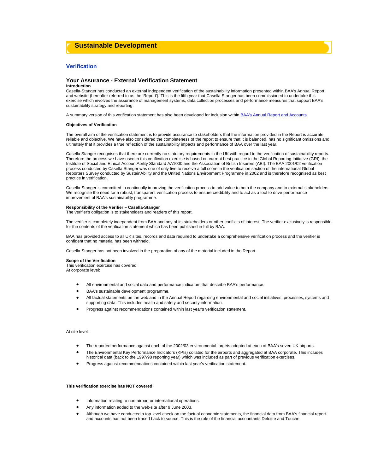



#### **Your Assurance - External Verification Statement**

#### **Introduction**

Casella-Stanger has conducted an external independent verification of the sustainability information presented within BAA's Annual Report and website (hereafter referred to as the 'Report'). This is the fifth year that Casella Stanger has been commissioned to undertake this exercise which involves the assurance of management systems, data collection processes and performance measures that support BAA's sustainability strategy and reporting.

A summary version of this verification statement has also been developed for inclusion within BAA's Annual Report and Accounts.

#### **Objectives of Verification**

The overall aim of the verification statement is to provide assurance to stakeholders that the information provided in the Report is accurate, reliable and objective. We have also considered the completeness of the report to ensure that it is balanced, has no significant omissions and ultimately that it provides a true reflection of the sustainability impacts and performance of BAA over the last year.

Casella Stanger recognises that there are currently no statutory requirements in the UK with regard to the verification of sustainability reports. Therefore the process we have used in this verification exercise is based on current best practice in the Global Reporting Initiative (GRI), the Institute of Social and Ethical AccountAbility Standard AA1000 and the Association of British Insurers (ABI). The BAA 2001/02 verification process conducted by Casella Stanger was one of only five to receive a full score in the verification section of the international Global Reporters Survey conducted by SustainAbility and the United Nations Environment Programme in 2002 and is therefore recognised as best practice in verification.

Casella-Stanger is committed to continually improving the verification process to add value to both the company and to external stakeholders. We recognise the need for a robust, transparent verification process to ensure credibility and to act as a tool to drive performance improvement of BAA's sustainability programme.

#### **Responsibility of the Verifier – Casella-Stanger**

The verifier's obligation is to stakeholders and readers of this report.

The verifier is completely independent from BAA and any of its stakeholders or other conflicts of interest. The verifier exclusively is responsible for the contents of the verification statement which has been published in full by BAA.

BAA has provided access to all UK sites, records and data required to undertake a comprehensive verification process and the verifier is confident that no material has been withheld.

Casella-Stanger has not been involved in the preparation of any of the material included in the Report.

#### **Scope of the Verification**

This verification exercise has covered: At corporate level:

- All environmental and social data and performance indicators that describe BAA's performance.
- BAA's sustainable development programme.
- All factual statements on the web and in the Annual Report regarding environmental and social initiatives, processes, systems and supporting data. This includes health and safety and security information.
- Progress against recommendations contained within last year's verification statement.

#### At site level:

- The reported performance against each of the 2002/03 environmental targets adopted at each of BAA's seven UK airports.
- The Environmental Key Performance Indicators (KPIs) collated for the airports and aggregated at BAA corporate. This includes historical data (back to the 1997/98 reporting year) which was included as part of previous verification exercises.
- Progress against recommendations contained within last year's verification statement.

#### **This verification exercise has NOT covered:**

- Information relating to non-airport or international operations.
- Any information added to the web-site after 9 June 2003.
- Although we have conducted a top-level check on the factual economic statements, the financial data from BAA's financial report and accounts has not been traced back to source. This is the role of the financial accountants Deloitte and Touche.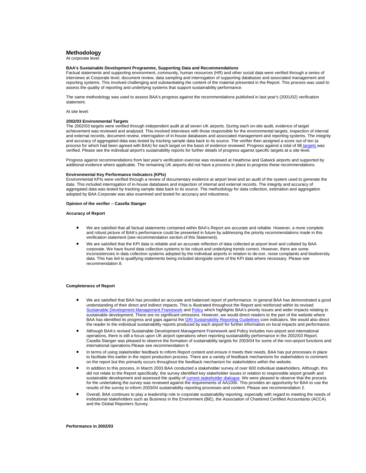#### **Methodology**

At corporate level:

#### **BAA's Sustainable Development Programme, Supporting Data and Recommendations**

Factual statements and supporting environment, community, human resources (HR) and other social data were verified through a series of interviews at Corporate level, document review, data sampling and interrogation of supporting databases and associated management and reporting systems. This involved challenging and substantiating the content of the material presented in the Report. This process was used to assess the quality of reporting and underlying systems that support sustainability performance.

The same methodology was used to assess BAA's progress against the recommendations published in last year's (2001/02) verification statement.

At site level:

#### **2002/03 Environmental Targets**

The 2002/03 targets were verified through independent audit at all seven UK airports. During each on-site audit, evidence of target achievement was reviewed and analysed. This involved interviews with those responsible for the environmental targets, inspection of internal and external records, document review, interrogation of in-house databases and associated management and reporting systems. The integrity and accuracy of aggregated data was tested by tracking sample data back to its source. The verifier then assigned a score out of ten (a process for which had been agreed with BAA) for each target on the basis of evidence reviewed. Progress against a total of 88 targets was verified. Please see the individual airport's sustainability reports for further details of progress against specific targets at a site level.

Progress against recommendations from last year's verification exercise was reviewed at Heathrow and Gatwick airports and supported by additional evidence where applicable. The remaining UK airports did not have a process in place to progress these recommendations.

#### **Environmental Key Performance Indicators (KPIs)**

Environmental KPIs were verified through a review of documentary evidence at airport level and an audit of the system used to generate the data. This included interrogation of in-house databases and inspection of internal and external records. The integrity and accuracy of aggregated data was tested by tracking sample data back to its source. The methodology for data collection, estimation and aggregation adopted by BAA Corporate was also examined and tested for accuracy and robustness.

#### **Opinion of the verifier – Casella Stanger**

#### **Accuracy of Report**

- We are satisfied that all factual statements contained within BAA's Report are accurate and reliable. However, a more complete and robust picture of BAA's performance could be presented in future by addressing the priority recommendations made in this verification statement (see recommendation section of this Statement).
- We are satisfied that the KPI data is reliable and an accurate reflection of data collected at airport level and collated by BAA corporate. We have found data collection systems to be robust and underlying trends correct. However, there are some inconsistencies in data collection systems adopted by the individual airports in relation to de-icer, noise complaints and biodiversity data. This has led to qualifying statements being included alongside some of the KPI data where necessary. Please see recommendation 8.

#### **Completeness of Report**

- We are satisfied that BAA has provided an accurate and balanced report of performance. In general BAA has demonstrated a good understanding of their direct and indirect impacts. This is illustrated throughout the Report and reinforced within its revised evelopment Management Framework and Policy which highlights BAA's priority issues and wider impacts relating to sustainable development. There are no significant omissions. However, we would direct readers to the part of the website where BAA has identified its progress and gaps against the GRI Sustainability Reporting Guidelines core indicators. We would also direct the reader to the individual sustainability reports produced by each airport for further information on local impacts and performance.
- Although BAA's revised Sustainable Development Management Framework and Policy includes non-airport and international operations, there is still a focus upon UK airport operations when reporting sustainability performance in the 2002/03 Report. Casella Stanger was pleased to observe the formation of sustainability targets for 2003/04 for some of the non-airport functions and international operations.Please see recommendation 9.
- In terms of using stakeholder feedback to inform Report content and ensure it meets their needs, BAA has put processes in place to facilitate this earlier in the report production process. There are a variety of feedback mechanisms for stakeholders to comment on the report but this primarily occurs throughout the feedback mechanism for stakeholders within the website.
- In addition to this process, in March 2003 BAA conducted a stakeholder survey of over 600 individual stakeholders. Although, this did not relate to the Report specifically, the survey identified key stakeholder issues in relation to responsible airport growth and sustainable development and assessed the quality of current stakeholder dialogue. We were pleased to observe that the process for the undertaking the survey was reviewed against the requirements of AA1000. This provides an opportunity for BAA to use the results of the survey to inform 2003/04 sustainability reporting processes and content. Please see recommendation 2.
- Overall, BAA continues to play a leadership role in corporate sustainability reporting, especially with regard to meeting the needs of institutional stakeholders such as Business in the Environment (BiE), the Association of Chartered Certified Accountants (ACCA) and the Global Reporters Survey.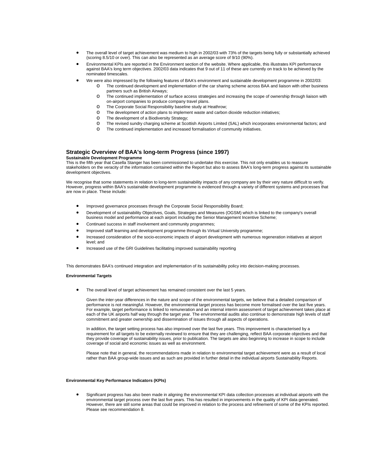- The overall level of target achievement was medium to high in 2002/03 with 73% of the targets being fully or substantially achieved (scoring 8.5/10 or over). This can also be represented as an average score of 9/10 (90%).
- Environmental KPIs are reported in the Environment section of the website. Where applicable, this illustrates KPI performance against BAA's long term objectives. 2002/03 data indicates that 9 out of 11 of these are currently on track to be achieved by the nominated timescales.
- We were also impressed by the following features of BAA's environment and sustainable development programme in 2002/03:
	- o The continued development and implementation of the car sharing scheme across BAA and liaison with other business partners such as British Airways;
		- o The continued implementation of surface access strategies and increasing the scope of ownership through liaison with on-airport companies to produce company travel plans.
		- o The Corporate Social Responsibility baseline study at Heathrow;
		- o The development of action plans to implement waste and carbon dioxide reduction initiatives;
		- o The development of a Biodiversity Strategy;
		- o The revised sundry charging scheme at Scottish Airports Limited (SAL) which incorporates environmental factors; and
		- o The continued implementation and increased formalisation of community initiatives.

#### **Strategic Overview of BAA's long-term Progress (since 1997) Sustainable Development Programme**

This is the fifth year that Casella Stanger has been commissioned to undertake this exercise. This not only enables us to reassure

stakeholders on the veracity of the information contained within the Report but also to assess BAA's long-term progress against its sustainable development objectives.

We recognise that some statements in relation to long-term sustainability impacts of any company are by their very nature difficult to verify. However, progress within BAA's sustainable development programme is evidenced through a variety of different systems and processes that are now in place. These include:

- Improved governance processes through the Corporate Social Responsibility Board;
- Development of sustainability Objectives, Goals, Strategies and Measures (OGSM) which is linked to the company's overall business model and performance at each airport including the Senior Management Incentive Scheme;
- Continued success in staff involvement and community programmes;
- Improved staff learning and development programme through its Virtual University programme;
- Increased consideration of the socio-economic impacts of airport development with numerous regeneration initiatives at airport level; and
- Increased use of the GRI Guidelines facilitating improved sustainability reporting

This demonstrates BAA's continued integration and implementation of its sustainability policy into decision-making processes.

#### **Environmental Targets**

The overall level of target achievement has remained consistent over the last 5 years.

Given the inter-year differences in the nature and scope of the environmental targets, we believe that a detailed comparison of performance is not meaningful. However, the environmental target process has become more formalised over the last five years. For example, target performance is linked to remuneration and an internal interim assessment of target achievement takes place at each of the UK airports half way through the target year. The environmental audits also continue to demonstrate high levels of staff commitment and greater ownership and dissemination of issues through all aspects of operations.

In addition, the target setting process has also improved over the last five years. This improvement is characterised by a requirement for all targets to be externally reviewed to ensure that they are challenging, reflect BAA corporate objectives and that they provide coverage of sustainability issues, prior to publication. The targets are also beginning to increase in scope to include coverage of social and economic issues as well as environment.

Please note that in general, the recommendations made in relation to environmental target achievement were as a result of local rather than BAA group-wide issues and as such are provided in further detail in the individual airports Sustainability Reports.

#### **Environmental Key Performance Indicators (KPIs)**

• Significant progress has also been made in aligning the environmental KPI data collection processes at individual airports with the environmental target process over the last five years. This has resulted in improvements in the quality of KPI data generated. However, there are still some areas that could be improved in relation to the process and refinement of some of the KPIs reported. Please see recommendation 8.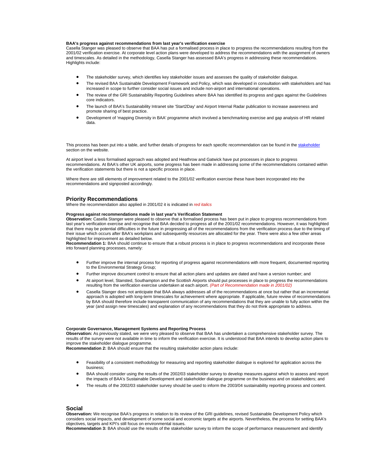#### **BAA's progress against recommendations from last year's verification exercise**

Casella Stanger was pleased to observe that BAA has put a formalised process in place to progress the recommendations resulting from the 2001/02 verification exercise. At corporate level action plans were developed to address the recommendations with the assignment of owners and timescales. As detailed in the methodology, Casella Stanger has assessed BAA's progress in addressing these recommendations. Highlights include:

- The stakeholder survey, which identifies key stakeholder issues and assesses the quality of stakeholder dialogue.
- The revised BAA Sustainable Development Framework and Policy, which was developed in consultation with stakeholders and has increased in scope to further consider social issues and include non-airport and international operations.
- The review of the GRI Sustainability Reporting Guidelines where BAA has identified its progress and gaps against the Guidelines core indicators.
- The launch of BAA's Sustainability Intranet site 'Start2Day' and Airport Internal Radar publication to increase awareness and promote sharing of best practice.
- Development of 'mapping Diversity in BAA' programme which involved a benchmarking exercise and gap analysis of HR related data.

This process has been put into a table, and further details of progress for each specific recommendation can be found in the stakeholder section on the website.

At airport level a less formalised approach was adopted and Heathrow and Gatwick have put processes in place to progress recommendations. At BAA's other UK airports, some progress has been made in addressing some of the recommendations contained within the verification statements but there is not a specific process in place.

Where there are still elements of improvement related to the 2001/02 verification exercise these have been incorporated into the recommendations and signposted accordingly.

#### **Priority Recommendations**

Where the recommendation also applied in 2001/02 it is indicated in *red italics*

#### **Progress against recommendations made in last year's Verification Statement**

**Observation:** Casella Stanger were pleased to observe that a formalised process has been put in place to progress recommendations from last year's verification exercise and recognise that BAA decided to progress all of the 2001/02 recommendations. However, it was highlighted that there may be potential difficulties in the future in progressing all of the recommendations from the verification process due to the timing of their issue which occurs after BAA's workplans and subsequently resources are allocated for the year. There were also a few other areas highlighted for improvement as detailed below.

**Recommendation 1:** BAA should continue to ensure that a robust process is in place to progress recommendations and incorporate these into forward planning processes, namely:

- Further improve the internal process for reporting of progress against recommendations with more frequent, documented reporting to the Environmental Strategy Group;
- Further improve document control to ensure that all action plans and updates are dated and have a version number; and
- At airport level, Stansted, Southampton and the Scottish Airports should put processes in place to progress the recommendations resulting from the verification exercise undertaken at each airport. *(Part of Recommendation made in 2001/02)*
- Casella Stanger does not anticipate that BAA always addresses all of the recommendations at once but rather that an incremental approach is adopted with long-term timescales for achievement where appropriate. If applicable, future review of recommendations by BAA should therefore include transparent communication of any recommendations that they are unable to fully action within the year (and assign new timescales) and explanation of any recommendations that they do not think appropriate to address.

#### **Corporate Governance, Management Systems and Reporting Process**

**Observation:** As previously stated, we were very pleased to observe that BAA has undertaken a comprehensive stakeholder survey. The results of the survey were not available in time to inform the verification exercise. It is understood that BAA intends to develop action plans to improve the stakeholder dialogue programme.

**Recommendation 2:** BAA should ensure that the resulting stakeholder action plans include:

- Feasibility of a consistent methodology for measuring and reporting stakeholder dialogue is explored for application across the business;
- BAA should consider using the results of the 2002/03 stakeholder survey to develop measures against which to assess and report the impacts of BAA's Sustainable Development and stakeholder dialogue programme on the business and on stakeholders; and
- The results of the 2002/03 stakeholder survey should be used to inform the 2003/04 sustainability reporting process and content.

#### **Social**

**Observation:** We recognise BAA's progress in relation to its review of the GRI guidelines, revised Sustainable Development Policy which considers social impacts, and development of some social and economic targets at the airports. Nevertheless, the process for setting BAA's objectives, targets and KPI's still focus on environmental issues.

**Recommendation 3:** BAA should use the results of the stakeholder survey to inform the scope of performance measurement and identify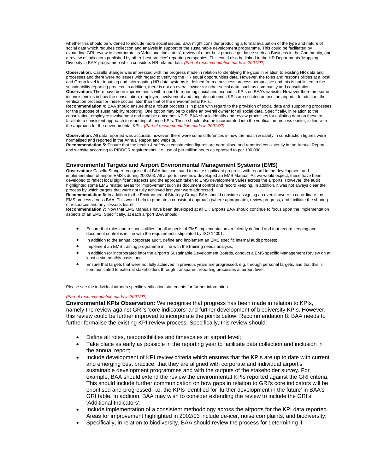whether this should be widened to include more social issues. BAA might consider producing a formal evaluation of the type and nature of social data which requires collection and analysis in support of the sustainable development programme. This could be facilitated by expanding GRI review to incorporate its 'Additional Indicators', review of other best practice guidance such as Business in the Community, and a review of indicators published by other 'best practice' reporting companies. This could also be linked to the HR Departments 'Mapping Diversity in BAA' programme which considers HR related data. *(Part of recommendation made in 2001/02)*

**Observation:** Casella Stanger was impressed with the progress made in relation to identifying the gaps in relation to existing HR data and processes and there were no issues with regard to verifying the HR equal opportunities data. However, the roles and responsibilities at a local and Group level for inputting and interrogating HR data systems is defined from a business process perspective and this is not linked to the sustainability reporting process. In addition, there is not an overall owner for other social data, such as community and consultation. **Observation:** There have been improvements with regard to reporting social and economic KPIs on BAA's website. However there are some inconsistencies in how the consultation, employee involvement and tangible outcomes KPIs are collated across the airports. In addition, the verification process for these occurs later than that of the environmental KPIs.

**Recommendation 4:** BAA should ensure that a robust process is in place with regard to the provision of social data and supporting processes for the purpose of sustainability reporting. One option may be to define an overall owner for all social data. Specifically, in relation to the consultation, employee involvement and tangible outcomes KPIS, BAA should identify and review processes for collating data on these to facilitate a consistent approach to reporting of these KPIs. These should also be incorporated into the verification process earlier, in line with the approach for the environmental KPIs. *(Part of recommendation made in 2001/02)*

**Observation:** All data reported was accurate, however, there were some differences in how the health & safety in construction figures were normalised and reported in the Annual Report and website.

**Recommendation 5:** Ensure that the health & safety in construction figures are normalised and reported consistently in the Annual Report and website according to RIDDOR requirements, i.e. use of per million hours as opposed to per 100,000.

#### **Environmental Targets and Airport Environmental Management Systems (EMS)**

**Observation:** Casella Stanger recognise that BAA has continued to make significant progress with regard to the development and implementation of airport EMS's during 2002/03. All airports have now developed an EMS Manual. As we would expect, these have been developed to reflect local significant aspects and the approach taken to EMS development varies across the airports. However, the audit highlighted some EMS related areas for improvement such as document control and record keeping. In addition, it was not always clear the process by which targets that were not fully achieved last year were addressed.

**Recommendation 6:** In addition to the Environmental Strategy Group, BAA should consider assigning an overall owner to co-ordinate the EMS process across BAA. This would help to promote a consistent approach (where appropriate), review progress, and facilitate the sharing of resources and any 'lessons learnt'.

**Recommendation 7:** Now that EMS Manuals have been developed at all UK airports BAA should continue to focus upon the implementation aspects of an EMS. Specifically, at each airport BAA should:

- Ensure that roles and responsibilities for all aspects of EMS implementation are clearly defined and that record keeping and document control is in line with the requirements stipulated by ISO 14001;
- In addition to the annual corporate audit, define and implement an EMS specific internal audit process;
- Implement an EMS training programme in line with the training needs analysis;
- In addition (or incorporated into) the airport's Sustainable Development Boards, conduct a EMS specific Management Review on at least a six-monthly basis; and
- Ensure that targets that were not fully achieved in previous years are progressed, e.g. through personal targets, and that this is communicated to external stakeholders through transparent reporting processes at airport level.

Please see the individual airports specific verification statements for further information.

#### *(Part of recommendation made in 2001/02)*

**Environmental KPIs Observation:** We recognise that progress has been made in relation to KPIs, namely the review against GRI's 'core indicators' and further development of biodiversity KPIs. However, this review could be further improved to incorporate the points below. Recommendation 8: BAA needs to further formalise the existing KPI review process. Specifically, this review should:

- Define all roles, responsibilities and timescales at airport level;
- Take place as early as possible in the reporting year to facilitate data collection and inclusion in the annual report;
- Include development of KPI review criteria which ensures that the KPIs are up to date with current and emerging best practice, that they are aligned with corporate and individual airport's sustainable development programmes and with the outputs of the stakeholder survey. For example, BAA should extend the review the environmental KPIs reported against the GRI criteria. This should include further communication on how gaps in relation to GRI's core indicators will be prioritised and progressed, i.e. the KPIs identified for 'further development in the future' in BAA's GRI table. In addition, BAA may wish to consider extending the review to include the GRI's 'Additional Indicators';
- Include implementation of a consistent methodology across the airports for the KPI data reported. Areas for improvement highlighted in 2002/03 include de-icer, noise complaints, and biodiversity;
- Specifically, in relation to biodiversity, BAA should review the process for determining if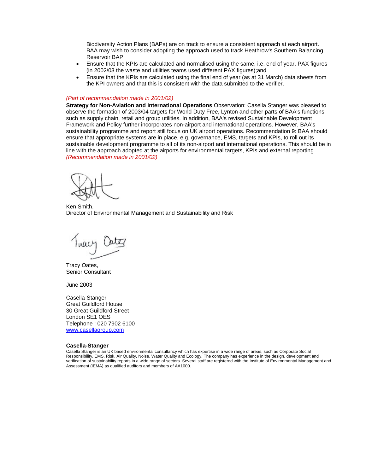Biodiversity Action Plans (BAPs) are on track to ensure a consistent approach at each airport. BAA may wish to consider adopting the approach used to track Heathrow's Southern Balancing Reservoir BAP;

- Ensure that the KPIs are calculated and normalised using the same, i.e. end of year, PAX figures (in 2002/03 the waste and utilities teams used different PAX figures);and
- Ensure that the KPIs are calculated using the final end of year (as at 31 March) data sheets from the KPI owners and that this is consistent with the data submitted to the verifier.

#### *(Part of recommendation made in 2001/02)*

**Strategy for Non-Aviation and International Operations** Observation: Casella Stanger was pleased to observe the formation of 2003/04 targets for World Duty Free, Lynton and other parts of BAA's functions such as supply chain, retail and group utilities. In addition, BAA's revised Sustainable Development Framework and Policy further incorporates non-airport and international operations. However, BAA's sustainability programme and report still focus on UK airport operations. Recommendation 9: BAA should ensure that appropriate systems are in place, e.g. governance, EMS, targets and KPIs, to roll out its sustainable development programme to all of its non-airport and international operations. This should be in line with the approach adopted at the airports for environmental targets, KPIs and external reporting. *(Recommendation made in 2001/02)*

Ken Smith, Director of Environmental Management and Sustainability and Risk

Tracy Out

Tracy Oates, Senior Consultant

June 2003

Casella-Stanger Great Guildford House 30 Great Guildford Street London SE1 OES Telephone : 020 7902 6100 www.casellagroup.com

#### **Casella-Stanger**

Casella Stanger is an UK based environmental consultancy which has expertise in a wide range of areas, such as Corporate Social Responsibility, EMS, Risk, Air Quality, Noise, Water Quality and Ecology. The company has experience in the design, development and verification of sustainability reports in a wide range of sectors. Several staff are registered with the Institute of Environmental Management and Assessment (IEMA) as qualified auditors and members of AA1000.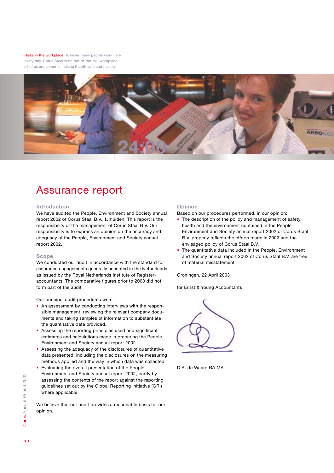Risks in the workplace However many people work here every day, Corus Steel is no run-of-the-mill workplace: all of us are united in making it both safe and healthy.



# Assurance report

#### **Introduction**

We have audited the People, Environment and Society annual report 2002 of Corus Staal B.V., IJmuiden. This report is the responsibility of the management of Corus Staal B.V. Our responsibility is to express an opinion on the accuracy and adequacy of the People, Environment and Society annual report 2002.

#### **Scope**

We conducted our audit in accordance with the standard for assurance engagements generally accepted in the Netherlands, as issued by the Royal Netherlands Institute of Registeraccountants. The comparative figures prior to 2000 did not form part of the audit.

Our principal audit procedures were:

- An assessment by conducting interviews with the responsible management, reviewing the relevant company documents and taking samples of information to substantiate the quantitative data provided.
- Assessing the reporting principles used and significant estimates and calculations made in preparing the People, Environment and Society annual report 2002.
- Assessing the adequacy of the disclosures of quantitative data presented, including the disclosures on the measuring methods applied and the way in which data was collected.
- Evaluating the overall presentation of the People, Environment and Society annual report 2002, partly by assessing the contents of the report against the reporting guidelines set out by the Global Reporting Initiative (GRI) where applicable.

We believe that our audit provides a reasonable basis for our opinion.

## **Opinion**

Based on our procedures performed, in our opinion:

- The description of the policy and management of safety, health and the environment contained in the People, Environment and Society annual report 2002 of Corus Staal B.V. properly reflects the efforts made in 2002 and the envisaged policy of Corus Staal B.V.
- The quantitative data included in the People, Environment and Society annual report 2002 of Corus Staal B.V. are free of material misstatement.

Groningen, 22 April 2003

for Ernst & Young Accountants

D.A. de Waard RA MA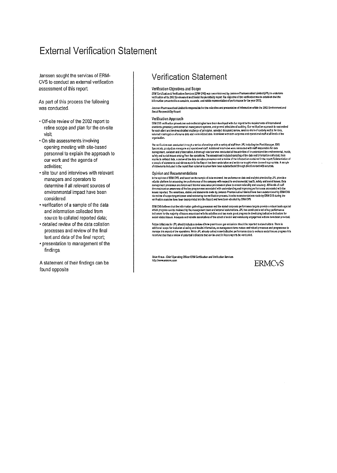# **External Verification Statement**

Janssen sought the services of ERM-CVS to conduct an external verification assessment of this report.

As part of this process the following was conducted.

- Off-site review of the 2002 report to refine scope and plan for the on-site visit
- . On site assessments involving opening meeting with site-based personnel to explain the approach to our work and the agenda of activities:
- · site tour and interviews with relevant managers and operators to determine if all relevant sources of environmental impact have been considered.
- verification of a sample of the data and information collected from source to collated reported data;
- · detailed review of the data collation processes and review of the final text and data of the final report;
- presentation to management of the findings.

A statement of their findings can be found opposite

## **Verification Statement**

#### Verification Objectives and Scope

ERM Cartification & Verification Services (ERM CVS) was commissioned by Janssen Phormaceutical Limited (JPL) to undertake verification of its 2002 Environment and Social Responsibility report The objective of the verification was to establish that the<br>Information presented is a complete, accurate, and rabble representation of performance for

Janssen Pharmaceutical Limited is responsible for the collection and presentation of information within the 2002 Environment and Social Responsibility Report

#### Verification Approach

ERM CVS verification procedures and methodologies have been developed with due regard to the requirements of international statistik governing environmental mentgenent systems, and general principles of auditing. Our versionism oversite automised<br>In each dignerality developmental mentgenent systems, and general principles of auditing. Our vers trippisation.

The verification was conducted through a series of meetings with a variety of staff from JPL including the Plant Manager, EHS<br>Specialists, production managers and operational staff. Additional interviews were conducted wit saleiyand aodal issues chello from the operation. The assessment included camping of the data and information estiected, from<br>saleiyand aodal issues chello from the operation processes and a review of the information conta

#### Opinion and Recommendations

Opinion allo Reconjintentuations<br>to the sample of data reviewed, by performing tale and smipple provided by JPL provides<br>related primary restricts are produced in the sample of data reviewed, by extensional fits also scale

ERR CVS believes trat the information gathering processes and the stated corporate performance targets provide a robust basis against<br>which progress can be reviewed by the management team and external stateholders. JPL has

Futura initiatives for JFL should include a review of how greenhouse gas unitaions should be reported to stakeholders. There is additional scope for inclusion of safety and health information, as management have mature and robust processes and programmes to<br>manage this superficience of the operations. While JPL already collect some indicative perfo

Brian Kraus - Chief Operating Officer ERM Certification and Verification Services<br>http://www.ermovs.com

**ERMC<sub>V</sub>S**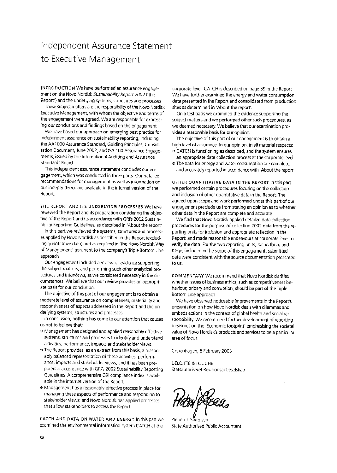# Independent Assurance Statement to Executive Management

INTRODUCTION We have performed an assurance engagement on the Novo Nordisk Sustainability Report 2002 ('the Report') and the underlying systems, structures and processes

These subject matters are the responsibility of the Novo Nordisk Executive Management, with whom the objective and terms of the engagement were agreed. We are responsible for expressing our conclusions and findings based on the engagement.

We have based our approach on emerging best practice for independent assurance on sustainability reporting, including the AA1000 Assurance Standard, Guiding Principles, Consultation Document, June 2002, and ISA 100 Assurance Engagements, issued by the International Auditing and Assurance Standards Board.

This independent assurance statement concludes our engagement, which was conducted in three parts. Our detailed recommendations for management as well as information on our independence are available in the internet version of the Report.

THE REPORT AND ITS UNDERLYING PROCESSES We have reviewed the Report and its preparation considering the objective of the Report and its accordance with GRI's 2002 Sustainability Reporting Guidelines, as described in 'About the report'

In this part we reviewed the systems, structures and processes applied by Novo Nordisk as described in the Report (excluding quantitative data) and as required in 'the Novo Nordisk Way of Management' pertinent to the company's Triple Bottom Line approach

Our engagement included a review of evidence supporting the subject matters, and performing such other analytical procedures and interviews, as we considered necessary in the circumstances We believe that our review provides an appropriate basis for our conclusion.

The objective of this part of our engagement is to obtain a moderate level of assurance on completeness, materiality and responsiveness of aspects addressed in the Report and the underlying systems, structures and processes.

In conclusion, nothing has come to our attention that causes us not to believe that:

- <sup>o</sup> Management has designed and applied reasonably effective systems, structures and processes to identify and understand activities, performance, impacts and stakeholder views.
- <sup>o</sup> The Report provides, as an extract from this basis, a reasonably balanced representation of these activities, performance, impacts and stakeholder views, and it has been prepared in accordance with GRI's 2002 Sustainability Reporting Guidelines. A comprehensive GRI compliance index is available in the internet version of the Report
- <sup>o</sup> Management has a reasonably effective process in place for managing these aspects of performance and responding to stakeholder views; and Novo Nordisk has applied processes that allow stakeholders to access the Report.

CATCH AND DATA ON WATER AND ENERGY In this part we examined the environmental information system CATCH at the

corporate level. CATCH is described on page 59 in the Report We have further examined the energy and water consumption data presented in the Report and consolidated from production sites as determined in 'About the report'.

On a test basis we examined the evidence supporting the subject matters and we performed other such procedures, as we deemed necessary. We believe that our examination provides a reasonable basis for our opinion.

The objective of this part of our engagement is to obtain a high level of assurance. In our opinion, in all material respects: ◎ CATCH is functioning as described, and the system ensures

- an appropriate data collection process at the corporate level The data for energy and water consumption are complete,
- and accurately reported in accordance with About the report'.

OTHER QUANTITATIVE DATA IN THE REPORT In this part we performed certain procedures focusing on the collection and inclusion of other quantitative data in the Report. The agreed-upon scope and work performed under this part of our engagement preclude us from stating an opinion as to whether other data in the Report are complete and accurate

We find that Novo Nordisk applied detailed data collection procedures for the purpose of collecting 2002 data from the reporting units for inclusion and appropriate reflection in the Report; and made reasonable endeavours at corporate level to verify the data. For the two reporting units, Kalundborg and Køge, included in the scope of this engagement, submitted data were consistent with the source documentation presented to us.

COMMENTARY We recommend that Novo Nordisk clarifies whether issues of business ethics, such as competitiveness behaviour, bribery and corruption, should be part of the Triple Bottom Line approach

We have observed noticeable improvements in the Report's presentation on how Novo Nordisk deals with dilemmas and embeds actions in the context of global health and social responsibility. We recommend further development of reporting measures on the 'Economic footprint' emphasising the societal value of Novo Nordisk's products and services to be a particular area of focus

Copenhagen, 6 February 2003

**DELOITTE & TOUCHE** Statsautoriseret Revisionsaktieselskab

Preben J. Sorensen State Authorised Public Accountant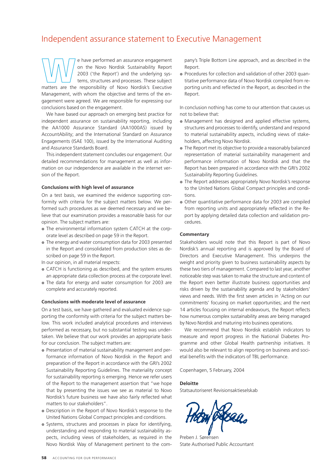## Independent assurance statement to Executive Management

**Ware the Movo Nordisk Sustainability Report**<br> **Matters are the responsibility of Novo Nordisk's Executive**<br>
matters are the responsibility of Novo Nordisk's Executive on the Novo Nordisk Sustainability Report 2003 ('the Report') and the underlying systems, structures and processes. These subject Management, with whom the objective and terms of the engagement were agreed. We are responsible for expressing our conclusions based on the engagement.

We have based our approach on emerging best practice for independent assurance on sustainability reporting, including the AA1000 Assurance Standard (AA1000AS) issued by AccountAbility; and the International Standard on Assurance Engagements (ISAE 100), issued by the International Auditing and Assurance Standards Board.

This independent statement concludes our engagement. Our detailed recommendations for management as well as information on our independence are available in the internet version of the Report.

#### **Conclusions with high level of assurance**

On a test basis, we examined the evidence supporting conformity with criteria for the subject matters below. We performed such procedures as we deemed necessary and we believe that our examination provides a reasonable basis for our opinion. The subject matters are:

- $\bullet$  The environmental information system CATCH at the corporate level as described on page 59 in the Report.
- $\bullet$  The energy and water consumption data for 2003 presented in the Report and consolidated from production sites as described on page 59 in the Report.

In our opinion, in all material respects:

- CATCH is functioning as described, and the system ensures an appropriate data collection process at the corporate level.
- The data for energy and water consumption for 2003 are complete and accurately reported.

#### **Conclusions with moderate level of assurance**

On a test basis, we have gathered and evaluated evidence supporting the conformity with criteria for the subject matters below. This work included analytical procedures and interviews performed as necessary, but no substantial testing was undertaken. We believe that our work provides an appropriate basis for our conclusion. The subject matters are:

- Presentation of material sustainability management and performance information of Novo Nordisk in the Report and preparation of the Report in accordance with the GRI's 2002 Sustainability Reporting Guidelines. The materiality concept for sustainability reporting is emerging. Hence we refer users of the Report to the management assertion that "we hope that by presenting the issues we see as material to Novo Nordisk's future business we have also fairly reflected what matters to our stakeholders".
- $\bullet$  Description in the Report of Novo Nordisk's response to the United Nations Global Compact principles and conditions.
- $\bullet$  Systems, structures and processes in place for identifying, understanding and responding to material sustainability aspects, including views of stakeholders, as required in the Novo Nordisk Way of Management pertinent to the com-

pany's Triple Bottom Line approach, and as described in the Report.

• Procedures for collection and validation of other 2003 quantitative performance data of Novo Nordisk compiled from reporting units and reflected in the Report, as described in the Report.

In conclusion nothing has come to our attention that causes us not to believe that:

- Management has designed and applied effective systems, structures and processes to identify, understand and respond to material sustainability aspects, including views of stakeholders, affecting Novo Nordisk.
- The Report met its objective to provide a reasonably balanced representation of material sustainability management and performance information of Novo Nordisk and that the Report has been prepared in accordance with the GRI's 2002 Sustainability Reporting Guidelines.
- The Report addresses appropriately Novo Nordisk's response to the United Nations Global Compact principles and conditions.
- Other quantitative performance data for 2003 are compiled from reporting units and appropriately reflected in the Report by applying detailed data collection and validation procedures.

#### **Commentary**

Stakeholders would note that this Report is part of Novo Nordisk's annual reporting and is approved by the Board of Directors and Executive Management. This underpins the weight and priority given to business sustainability aspects by these two tiers of management. Compared to last year, another noticeable step was taken to make the structure and content of the Report even better illustrate business opportunities and risks driven by the sustainability agenda and by stakeholders' views and needs. With the first seven articles in 'Acting on our commitments' focusing on market opportunities; and the next 14 articles focusing on internal endeavours, the Report reflects how numerous complex sustainability areas are being managed by Novo Nordisk and maturing into business operations.

We recommend that Novo Nordisk establish indicators to measure and report progress in the National Diabetes Programme and other Global Health partnership initiatives. It would also be relevant to align reporting on business and societal benefits with the indicators of TBL performance.

Copenhagen, 5 February, 2004

#### **Deloitte**

Statsautoriseret Revisionsaktieselskab

Preben J. Sørensen State Authorised Public Accountant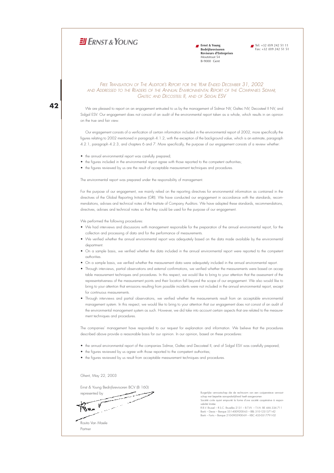## $H$  FRNST & YOUNG

**Frnst & Young Bedrijfsrevisoren Reviseurs d'Entreprises** Moutstraat 54 B-9000 Gent

 $\blacksquare$  Tel: +32 (0)9 242 51 11 Fax:  $+32$  (0)9 242 51 51

#### *&2%%42!.3,!4)/. /&4(%!5\$)4/232%0/24 &/2 4(%9%!2%.\$%\$\$%#%-"%2*  and Addressed to the Readers of the Annual Environmental Report of the Companies Sidmar *CALTEC AND DECOSTEEL II. AND OF SIDGAL ESV*

42

We are pleased to report on an engagement entrusted to us by the management of Sidmar NV, Galtec NV, Decosteel II NV, and Sidgal ESV. Our engagement does not consist of an audit of the environmental report taken as a whole, which results in an opinion on the true and fair view.

Our engagement consists of a verification of certain information included in the environmental report of 2002, more specifically the figures relating to 2002 mentioned in paragraph 4.1.2, with the exception of the background value, which is an estimate, paragraph 4.2.1, paragraph 4.2.3, and chapters 6 and 7. More specifically, the purpose of our engagement consists of a review whether:

- the annual environmental report was carefully prepared;
- the figures included in the environmental report agree with those reported to the competent authorities;
- the figures reviewed by us are the result of acceptable measurement techniques and procedures.

The environmental report was prepared under the responsibility of management.

For the purpose of our engagement, we mainly relied on the reporting directives for environmental information as contained in the directives of the Global Reporting Initiative (GRI). We have conducted our engagement in accordance with the standards, recommendations, advises and technical notes of the Institute of Company Auditors. We have adapted these standards, recommendations, directives, advises and technical notes so that they could be used for the purpose of our engagement.

We performed the following procedures:

- We had interviews and discussions with management responsible for the preparation of the annual environmental report, for the collection and processing of data and for the performance of measurements.
- We verified whether the annual environmental report was adequately based on the data made available by the environmental department
- On a sample basis, we verified whether the data included in the annual environmental report were reported to the competent AUTHORITIES
- On a sample basis, we verified whether the measurement data were adequately included in the annual environmental report.
- Through interviews, partial observations and external confirmations, we verified whether the measurements were based on accep table measurement techniques and procedures. In this respect, we would like to brina to your attention that the assessment of the representativeness of the measurement points and their location fall beyond the scope of our engagement. We also would like to bring to your attention that emissions resulting from possible incidents were not included in the annual environmental report, except for continuous measurements
- Through interviews and partial observations, we verified whether the measurements result from an acceptable environmental management system. In this respect, we would like to bring to your attention that our engagement does not consist of an audit of the environmental management system as such. However, we did take into account certain aspects that are related to the measurement techniques and procedures.

The companies' management have responded to our request for explanation and information. We believe that the procedures described above provide a reasonable basis for our opinion. In our opinion, based on these procedures:

- the annual environmental report of the companies Sidmar, Galtec and Decosteel II, and of Sidgal ESV was carefully prepared;
- the figures reviewed by us agree with those reported to the competent authorities;
- the figures reviewed by us result from acceptable measurement techniques and procedures.

Ghent, May 22, 2003

Rosita Van Maele Partner

Ernst & Young Bedrijfsrevisoren BCV (B 160)

سيستصيب represented by V gen

Burgerlijke vennootschap die de rechtsvorm van een coöperatieve vennoot-Surgemper vermeener.<br>Schap met beperkte aansprakelijkheid heeft aangenom samap mai superme sumprumerprunte main sum gamement.<br>Société civile ayant emprunté la forme d'une société coopérative à respon sabilité limitée

R.B.V. Brussel – R.S.C. Bruxelles 2131 – B.T.VV. – T.V.A. BE 446.334.711<br>Bank – Dexia – Banque 551-4009200-65 – BBL 310-1231371-42<br>Bank – Fortis – Banque 210-0905900-69 – KBC 435-0317791-02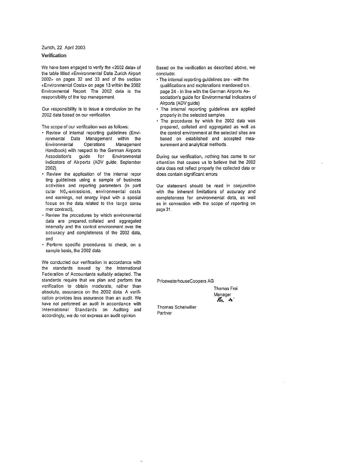Zurich, 22. April 2003

#### Verification

We have been engaged to verify the «2002 data» of the table titled «Environmental Data Zurich Airport 2002» on pages 32 and 33 and of the section «Environmental Costs» on page 13 within the 2002 Environmental Report. The 2002 data is the responsibility of the top management.

Our responsibility is to issue a conclusion on the 2002 data based on our verification.

The scope of our verification was as follows:

- · Review of internal reporting guidelines (Environmental Data Management within the Environmental Operations Management Handbook) with respect to the German Airports Association's guide for Environmental Indicators of Airports (ADV guide, September 2002),
- . Review the application of the internal repor ting guidelines using a sample of business activities and reporting parameters (in parti cular N0x-emissions, environmental costs and earnings, net energy input with a special focus on the data related to the large consul mer contract),
- . Review the procedures by which environmental data are prepared collated and aggregated internally and the control environment over the accuracy and completeness of the 2002 data, and
- · Perform specific procedures to check, on a sample basis, the 2002 data.

We conducted our verification in accordance with the standards issued by the International Federation of Accountants suitably adapted. The standards require that we plan and perform the verification to obtain moderate, rather than absolute, assurance on the 2002 data. A verification provides less assurance than an audit. We have not performed an audit in accordance with International Standards on Auditing and accordingly, we do not express an audit opinion

Based on the verification as described above, we conclude:

- . The internal reporting guidelines are with the qualifications and explanations mentioned on. page 24 - in line with the German Airports Association's guide for Environmental Indicators of Airports (ADV guide)
- · The internal reporting guidelines are applied properly in the selected samples.
- · The procedures by which the 2002 data was prepared, collated and aggregated as well as the control environment at the selected sites are based on established and accepted measurement and analytical methods.

During our verification, nothing has come to our attention that causes us to believe that the 2002 data does not reflect properly the collected data or does contain significant errors

Our statement should be read in conjunction with the inherent limitations of accuracy and completeness for environmental data, as well as in connection with the scope of reporting on page 31.

PricewaterhouseCoopers AG

Thomas Frei Manager  $M_{\star}$   $h$ 

Thomas Scheiwiller Partner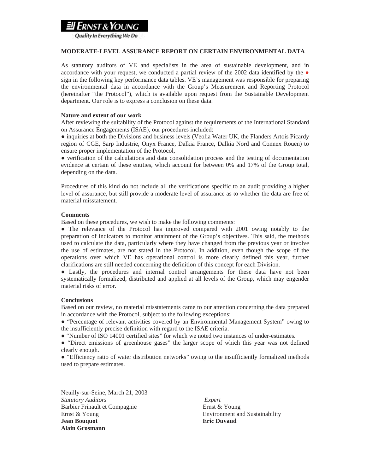## $\boldsymbol{\mathcal{R}}$

Quality In Everything We Do

### **MODERATE-LEVEL ASSURANCE REPORT ON CERTAIN ENVIRONMENTAL DATA**

As statutory auditors of VE and specialists in the area of sustainable development, and in accordance with your request, we conducted a partial review of the 2002 data identified by the  $\bullet$ sign in the following key performance data tables. VE's management was responsible for preparing the environmental data in accordance with the Group's Measurement and Reporting Protocol (hereinafter "the Protocol"), which is available upon request from the Sustainable Development department. Our role is to express a conclusion on these data.

### **Nature and extent of our work**

After reviewing the suitability of the Protocol against the requirements of the International Standard on Assurance Engagements (ISAE), our procedures included:

● inquiries at both the Divisions and business levels (Veolia Water UK, the Flanders Artois Picardy region of CGE, Sarp Industrie, Onyx France, Dalkia France, Dalkia Nord and Connex Rouen) to ensure proper implementation of the Protocol,

● verification of the calculations and data consolidation process and the testing of documentation evidence at certain of these entities, which account for between 0% and 17% of the Group total, depending on the data.

Procedures of this kind do not include all the verifications specific to an audit providing a higher level of assurance, but still provide a moderate level of assurance as to whether the data are free of material misstatement.

### **Comments**

Based on these procedures, we wish to make the following comments:

● The relevance of the Protocol has improved compared with 2001 owing notably to the preparation of indicators to monitor attainment of the Group's objectives. This said, the methods used to calculate the data, particularly where they have changed from the previous year or involve the use of estimates, are not stated in the Protocol. In addition, even though the scope of the operations over which VE has operational control is more clearly defined this year, further clarifications are still needed concerning the definition of this concept for each Division.

● Lastly, the procedures and internal control arrangements for these data have not been systematically formalized, distributed and applied at all levels of the Group, which may engender material risks of error.

## **Conclusions**

Based on our review, no material misstatements came to our attention concerning the data prepared in accordance with the Protocol, subject to the following exceptions:

● "Percentage of relevant activities covered by an Environmental Management System" owing to the insufficiently precise definition with regard to the ISAE criteria.

● "Number of ISO 14001 certified sites" for which we noted two instances of under-estimates.

• "Direct emissions of greenhouse gases" the larger scope of which this year was not defined clearly enough.

● "Efficiency ratio of water distribution networks" owing to the insufficiently formalized methods used to prepare estimates.

Neuilly-sur-Seine, March 21, 2003 *Statutory Auditors Expert*  Barbier Frinault et Compagnie Ernst & Young Ernst & Young Environment and Sustainability **Jean Bouquot Eric Duvaud Alain Grosmann**